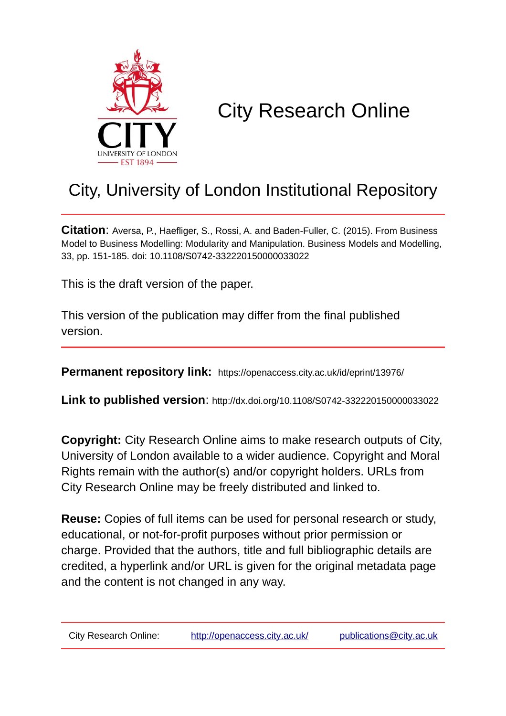

# City Research Online

# City, University of London Institutional Repository

**Citation**: Aversa, P., Haefliger, S., Rossi, A. and Baden-Fuller, C. (2015). From Business Model to Business Modelling: Modularity and Manipulation. Business Models and Modelling, 33, pp. 151-185. doi: 10.1108/S0742-332220150000033022

This is the draft version of the paper.

This version of the publication may differ from the final published version.

**Permanent repository link:** https://openaccess.city.ac.uk/id/eprint/13976/

**Link to published version**: http://dx.doi.org/10.1108/S0742-332220150000033022

**Copyright:** City Research Online aims to make research outputs of City, University of London available to a wider audience. Copyright and Moral Rights remain with the author(s) and/or copyright holders. URLs from City Research Online may be freely distributed and linked to.

**Reuse:** Copies of full items can be used for personal research or study, educational, or not-for-profit purposes without prior permission or charge. Provided that the authors, title and full bibliographic details are credited, a hyperlink and/or URL is given for the original metadata page and the content is not changed in any way.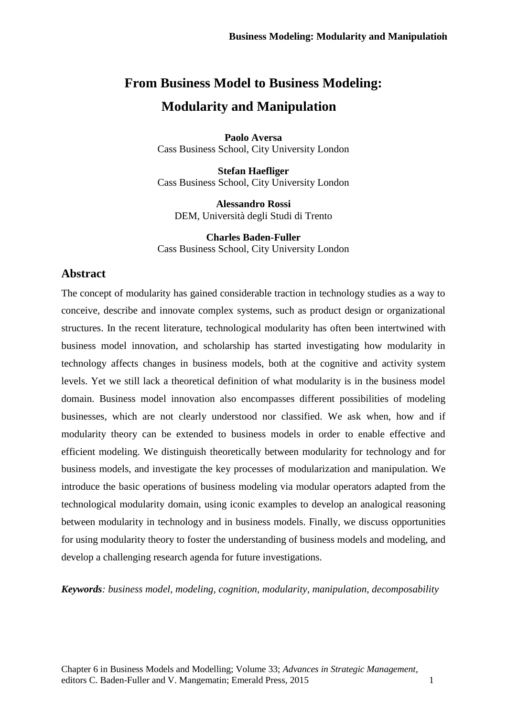## **From Business Model to Business Modeling: Modularity and Manipulation**

**Paolo Aversa** Cass Business School, City University London

**Stefan Haefliger** Cass Business School, City University London

**Alessandro Rossi** DEM, Università degli Studi di Trento

**Charles Baden-Fuller** Cass Business School, City University London

## **Abstract**

The concept of modularity has gained considerable traction in technology studies as a way to conceive, describe and innovate complex systems, such as product design or organizational structures. In the recent literature, technological modularity has often been intertwined with business model innovation, and scholarship has started investigating how modularity in technology affects changes in business models, both at the cognitive and activity system levels. Yet we still lack a theoretical definition of what modularity is in the business model domain. Business model innovation also encompasses different possibilities of modeling businesses, which are not clearly understood nor classified. We ask when, how and if modularity theory can be extended to business models in order to enable effective and efficient modeling. We distinguish theoretically between modularity for technology and for business models, and investigate the key processes of modularization and manipulation. We introduce the basic operations of business modeling via modular operators adapted from the technological modularity domain, using iconic examples to develop an analogical reasoning between modularity in technology and in business models. Finally, we discuss opportunities for using modularity theory to foster the understanding of business models and modeling, and develop a challenging research agenda for future investigations.

*Keywords: business model, modeling, cognition, modularity, manipulation, decomposability*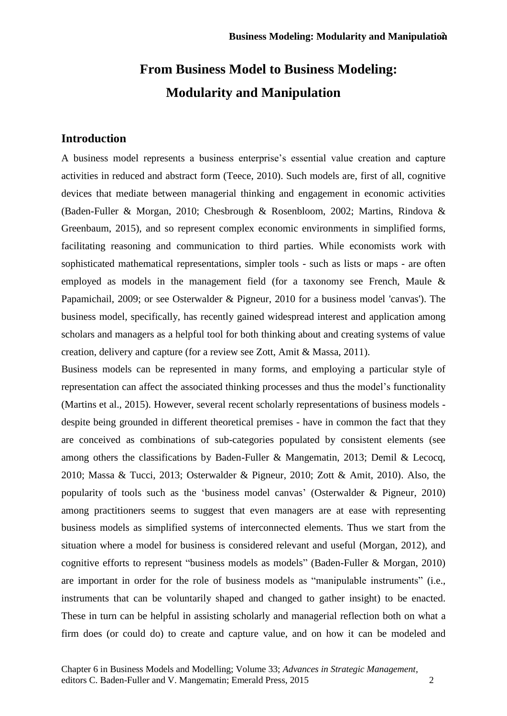## **From Business Model to Business Modeling: Modularity and Manipulation**

## **Introduction**

A business model represents a business enterprise's essential value creation and capture activities in reduced and abstract form (Teece, 2010). Such models are, first of all, cognitive devices that mediate between managerial thinking and engagement in economic activities (Baden-Fuller & Morgan, 2010; Chesbrough & Rosenbloom, 2002; Martins, Rindova & Greenbaum, 2015), and so represent complex economic environments in simplified forms, facilitating reasoning and communication to third parties. While economists work with sophisticated mathematical representations, simpler tools - such as lists or maps - are often employed as models in the management field (for a taxonomy see French, Maule & Papamichail, 2009; or see Osterwalder & Pigneur, 2010 for a business model 'canvas'). The business model, specifically, has recently gained widespread interest and application among scholars and managers as a helpful tool for both thinking about and creating systems of value creation, delivery and capture (for a review see Zott, Amit & Massa, 2011).

Business models can be represented in many forms, and employing a particular style of representation can affect the associated thinking processes and thus the model's functionality (Martins et al., 2015). However, several recent scholarly representations of business models despite being grounded in different theoretical premises - have in common the fact that they are conceived as combinations of sub-categories populated by consistent elements (see among others the classifications by Baden-Fuller & Mangematin, 2013; Demil & Lecocq, 2010; Massa & Tucci, 2013; Osterwalder & Pigneur, 2010; Zott & Amit, 2010). Also, the popularity of tools such as the 'business model canvas' (Osterwalder & Pigneur, 2010) among practitioners seems to suggest that even managers are at ease with representing business models as simplified systems of interconnected elements. Thus we start from the situation where a model for business is considered relevant and useful (Morgan, 2012), and cognitive efforts to represent "business models as models" (Baden-Fuller & Morgan, 2010) are important in order for the role of business models as "manipulable instruments" (i.e., instruments that can be voluntarily shaped and changed to gather insight) to be enacted. These in turn can be helpful in assisting scholarly and managerial reflection both on what a firm does (or could do) to create and capture value, and on how it can be modeled and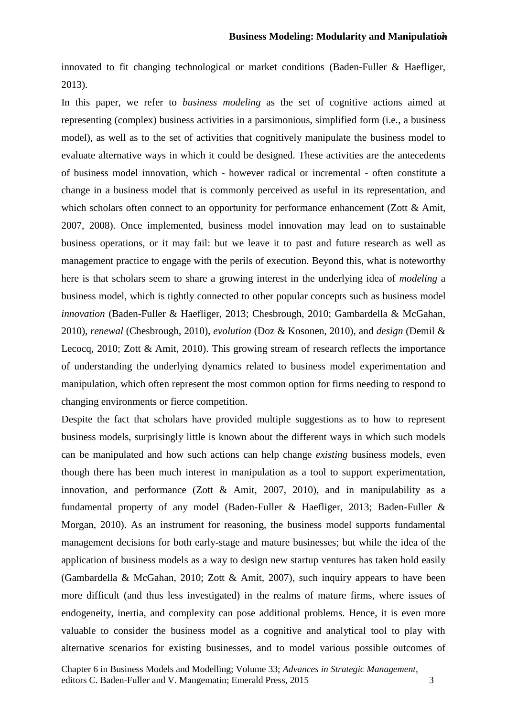innovated to fit changing technological or market conditions (Baden-Fuller & Haefliger, 2013).

In this paper, we refer to *business modeling* as the set of cognitive actions aimed at representing (complex) business activities in a parsimonious, simplified form (i.e., a business model), as well as to the set of activities that cognitively manipulate the business model to evaluate alternative ways in which it could be designed. These activities are the antecedents of business model innovation, which - however radical or incremental - often constitute a change in a business model that is commonly perceived as useful in its representation, and which scholars often connect to an opportunity for performance enhancement (Zott & Amit, 2007, 2008). Once implemented, business model innovation may lead on to sustainable business operations, or it may fail: but we leave it to past and future research as well as management practice to engage with the perils of execution. Beyond this, what is noteworthy here is that scholars seem to share a growing interest in the underlying idea of *modeling* a business model, which is tightly connected to other popular concepts such as business model *innovation* (Baden-Fuller & Haefliger, 2013; Chesbrough, 2010; Gambardella & McGahan, 2010), *renewal* (Chesbrough, 2010), *evolution* (Doz & Kosonen, 2010), and *design* (Demil & Lecocq, 2010; Zott & Amit, 2010). This growing stream of research reflects the importance of understanding the underlying dynamics related to business model experimentation and manipulation, which often represent the most common option for firms needing to respond to changing environments or fierce competition.

Despite the fact that scholars have provided multiple suggestions as to how to represent business models, surprisingly little is known about the different ways in which such models can be manipulated and how such actions can help change *existing* business models, even though there has been much interest in manipulation as a tool to support experimentation, innovation, and performance (Zott & Amit, 2007, 2010), and in manipulability as a fundamental property of any model (Baden-Fuller & Haefliger, 2013; Baden-Fuller & Morgan, 2010). As an instrument for reasoning, the business model supports fundamental management decisions for both early-stage and mature businesses; but while the idea of the application of business models as a way to design new startup ventures has taken hold easily (Gambardella & McGahan, 2010; Zott & Amit, 2007), such inquiry appears to have been more difficult (and thus less investigated) in the realms of mature firms, where issues of endogeneity, inertia, and complexity can pose additional problems. Hence, it is even more valuable to consider the business model as a cognitive and analytical tool to play with alternative scenarios for existing businesses, and to model various possible outcomes of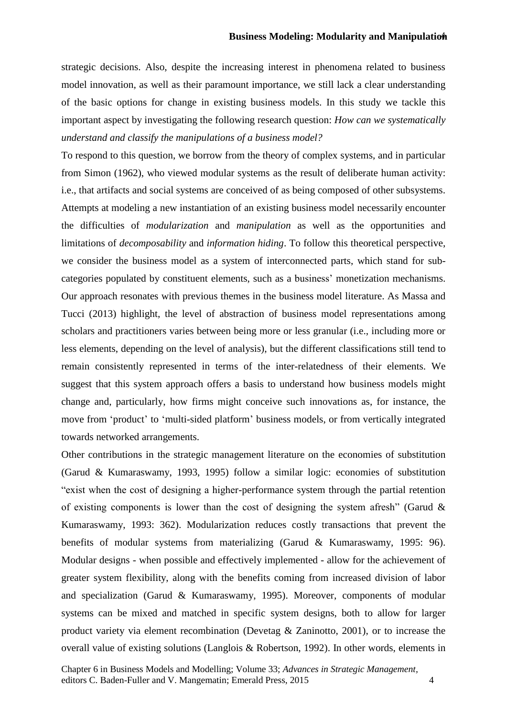strategic decisions. Also, despite the increasing interest in phenomena related to business model innovation, as well as their paramount importance, we still lack a clear understanding of the basic options for change in existing business models. In this study we tackle this important aspect by investigating the following research question: *How can we systematically understand and classify the manipulations of a business model?*

To respond to this question, we borrow from the theory of complex systems, and in particular from Simon (1962), who viewed modular systems as the result of deliberate human activity: i.e., that artifacts and social systems are conceived of as being composed of other subsystems. Attempts at modeling a new instantiation of an existing business model necessarily encounter the difficulties of *modularization* and *manipulation* as well as the opportunities and limitations of *decomposability* and *information hiding*. To follow this theoretical perspective, we consider the business model as a system of interconnected parts, which stand for subcategories populated by constituent elements, such as a business' monetization mechanisms. Our approach resonates with previous themes in the business model literature. As Massa and Tucci (2013) highlight, the level of abstraction of business model representations among scholars and practitioners varies between being more or less granular (i.e., including more or less elements, depending on the level of analysis), but the different classifications still tend to remain consistently represented in terms of the inter-relatedness of their elements. We suggest that this system approach offers a basis to understand how business models might change and, particularly, how firms might conceive such innovations as, for instance, the move from 'product' to 'multi-sided platform' business models, or from vertically integrated towards networked arrangements.

Other contributions in the strategic management literature on the economies of substitution (Garud & Kumaraswamy, 1993, 1995) follow a similar logic: economies of substitution "exist when the cost of designing a higher-performance system through the partial retention of existing components is lower than the cost of designing the system afresh" (Garud  $\&$ Kumaraswamy, 1993: 362). Modularization reduces costly transactions that prevent the benefits of modular systems from materializing (Garud & Kumaraswamy, 1995: 96). Modular designs - when possible and effectively implemented - allow for the achievement of greater system flexibility, along with the benefits coming from increased division of labor and specialization (Garud & Kumaraswamy, 1995). Moreover, components of modular systems can be mixed and matched in specific system designs, both to allow for larger product variety via element recombination (Devetag & Zaninotto, 2001), or to increase the overall value of existing solutions (Langlois & Robertson, 1992). In other words, elements in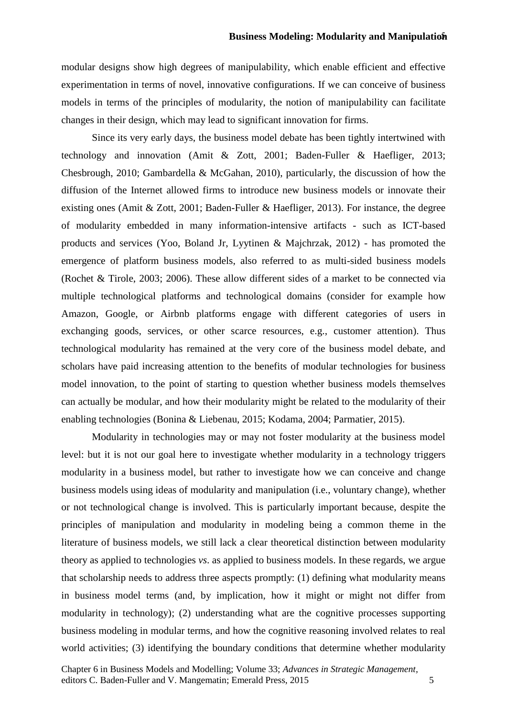modular designs show high degrees of manipulability, which enable efficient and effective experimentation in terms of novel, innovative configurations. If we can conceive of business models in terms of the principles of modularity, the notion of manipulability can facilitate changes in their design, which may lead to significant innovation for firms.

Since its very early days, the business model debate has been tightly intertwined with technology and innovation (Amit & Zott, 2001; Baden-Fuller & Haefliger, 2013; Chesbrough, 2010; Gambardella & McGahan, 2010), particularly, the discussion of how the diffusion of the Internet allowed firms to introduce new business models or innovate their existing ones (Amit & Zott, 2001; Baden-Fuller & Haefliger, 2013). For instance, the degree of modularity embedded in many information-intensive artifacts - such as ICT-based products and services (Yoo, Boland Jr, Lyytinen & Majchrzak, 2012) - has promoted the emergence of platform business models, also referred to as multi-sided business models (Rochet & Tirole, 2003; 2006). These allow different sides of a market to be connected via multiple technological platforms and technological domains (consider for example how Amazon, Google, or Airbnb platforms engage with different categories of users in exchanging goods, services, or other scarce resources, e.g., customer attention). Thus technological modularity has remained at the very core of the business model debate, and scholars have paid increasing attention to the benefits of modular technologies for business model innovation, to the point of starting to question whether business models themselves can actually be modular, and how their modularity might be related to the modularity of their enabling technologies (Bonina & Liebenau, 2015; Kodama, 2004; Parmatier, 2015).

Modularity in technologies may or may not foster modularity at the business model level: but it is not our goal here to investigate whether modularity in a technology triggers modularity in a business model, but rather to investigate how we can conceive and change business models using ideas of modularity and manipulation (i.e., voluntary change), whether or not technological change is involved. This is particularly important because, despite the principles of manipulation and modularity in modeling being a common theme in the literature of business models, we still lack a clear theoretical distinction between modularity theory as applied to technologies *vs*. as applied to business models. In these regards, we argue that scholarship needs to address three aspects promptly: (1) defining what modularity means in business model terms (and, by implication, how it might or might not differ from modularity in technology); (2) understanding what are the cognitive processes supporting business modeling in modular terms, and how the cognitive reasoning involved relates to real world activities; (3) identifying the boundary conditions that determine whether modularity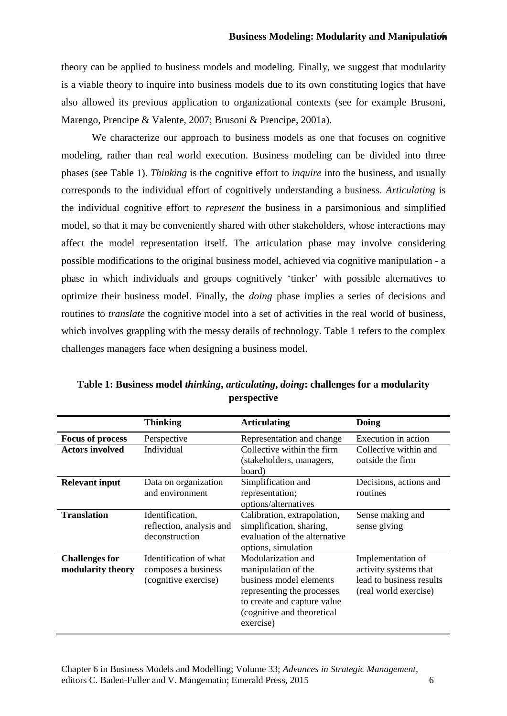theory can be applied to business models and modeling. Finally, we suggest that modularity is a viable theory to inquire into business models due to its own constituting logics that have also allowed its previous application to organizational contexts (see for example Brusoni, Marengo, Prencipe & Valente, 2007; Brusoni & Prencipe, 2001a).

We characterize our approach to business models as one that focuses on cognitive modeling, rather than real world execution. Business modeling can be divided into three phases (see Table 1). *Thinking* is the cognitive effort to *inquire* into the business, and usually corresponds to the individual effort of cognitively understanding a business. *Articulating* is the individual cognitive effort to *represent* the business in a parsimonious and simplified model, so that it may be conveniently shared with other stakeholders, whose interactions may affect the model representation itself. The articulation phase may involve considering possible modifications to the original business model, achieved via cognitive manipulation - a phase in which individuals and groups cognitively 'tinker' with possible alternatives to optimize their business model. Finally, the *doing* phase implies a series of decisions and routines to *translate* the cognitive model into a set of activities in the real world of business, which involves grappling with the messy details of technology. Table 1 refers to the complex challenges managers face when designing a business model.

|                                            | <b>Thinking</b>                                                       | <b>Articulating</b>                                                                                                                                                          | Doing                                                                                           |
|--------------------------------------------|-----------------------------------------------------------------------|------------------------------------------------------------------------------------------------------------------------------------------------------------------------------|-------------------------------------------------------------------------------------------------|
| <b>Focus of process</b>                    | Perspective                                                           | Representation and change                                                                                                                                                    | Execution in action                                                                             |
| <b>Actors involved</b>                     | Individual                                                            | Collective within the firm<br>(stakeholders, managers,<br>board)                                                                                                             | Collective within and<br>outside the firm                                                       |
| <b>Relevant input</b>                      | Data on organization<br>and environment                               | Simplification and<br>representation;<br>options/alternatives                                                                                                                | Decisions, actions and<br>routines                                                              |
| <b>Translation</b>                         | Identification,<br>reflection, analysis and<br>deconstruction         | Calibration, extrapolation,<br>simplification, sharing,<br>evaluation of the alternative<br>options, simulation                                                              | Sense making and<br>sense giving                                                                |
| <b>Challenges for</b><br>modularity theory | Identification of what<br>composes a business<br>(cognitive exercise) | Modularization and<br>manipulation of the<br>business model elements<br>representing the processes<br>to create and capture value<br>(cognitive and theoretical<br>exercise) | Implementation of<br>activity systems that<br>lead to business results<br>(real world exercise) |

**Table 1: Business model** *thinking***,** *articulating***,** *doing***: challenges for a modularity perspective**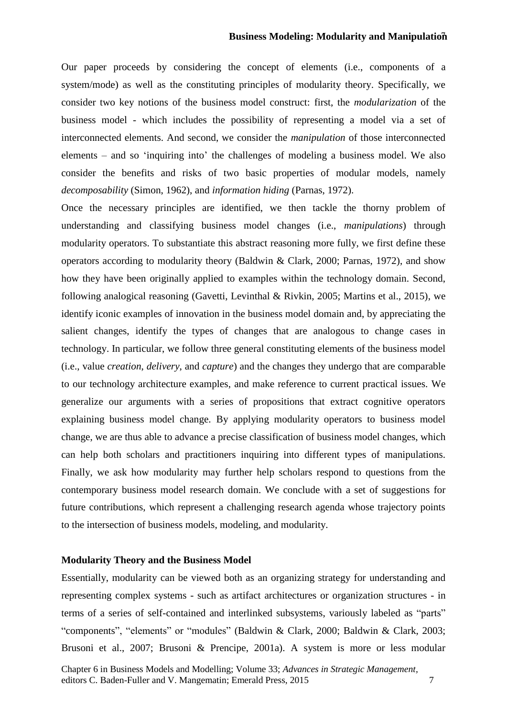Our paper proceeds by considering the concept of elements (i.e., components of a system/mode) as well as the constituting principles of modularity theory. Specifically, we consider two key notions of the business model construct: first, the *modularization* of the business model - which includes the possibility of representing a model via a set of interconnected elements. And second, we consider the *manipulation* of those interconnected elements – and so 'inquiring into' the challenges of modeling a business model. We also consider the benefits and risks of two basic properties of modular models, namely *decomposability* (Simon, 1962), and *information hiding* (Parnas, 1972).

Once the necessary principles are identified, we then tackle the thorny problem of understanding and classifying business model changes (i.e., *manipulations*) through modularity operators. To substantiate this abstract reasoning more fully, we first define these operators according to modularity theory (Baldwin & Clark, 2000; Parnas, 1972), and show how they have been originally applied to examples within the technology domain. Second, following analogical reasoning (Gavetti, Levinthal & Rivkin, 2005; Martins et al., 2015), we identify iconic examples of innovation in the business model domain and, by appreciating the salient changes, identify the types of changes that are analogous to change cases in technology. In particular, we follow three general constituting elements of the business model (i.e., value *creation*, *delivery*, and *capture*) and the changes they undergo that are comparable to our technology architecture examples, and make reference to current practical issues. We generalize our arguments with a series of propositions that extract cognitive operators explaining business model change. By applying modularity operators to business model change, we are thus able to advance a precise classification of business model changes, which can help both scholars and practitioners inquiring into different types of manipulations. Finally, we ask how modularity may further help scholars respond to questions from the contemporary business model research domain. We conclude with a set of suggestions for future contributions, which represent a challenging research agenda whose trajectory points to the intersection of business models, modeling, and modularity.

## **Modularity Theory and the Business Model**

Essentially, modularity can be viewed both as an organizing strategy for understanding and representing complex systems - such as artifact architectures or organization structures - in terms of a series of self-contained and interlinked subsystems, variously labeled as "parts" "components", "elements" or "modules" (Baldwin & Clark, 2000; Baldwin & Clark, 2003; Brusoni et al., 2007; Brusoni & Prencipe, 2001a). A system is more or less modular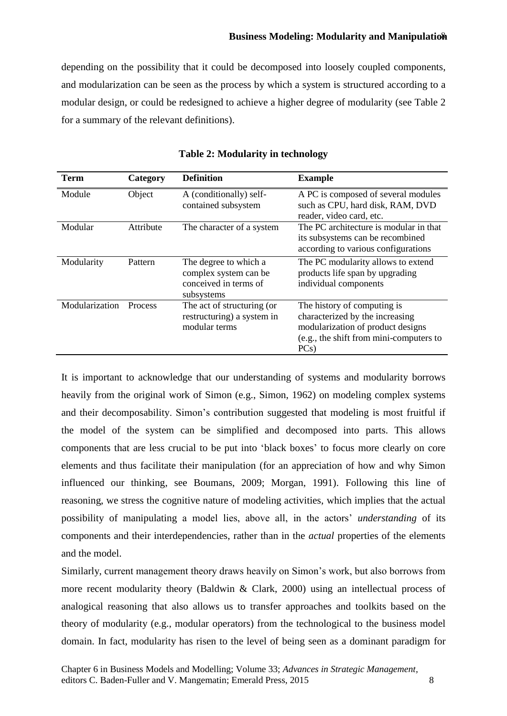depending on the possibility that it could be decomposed into loosely coupled components, and modularization can be seen as the process by which a system is structured according to a modular design, or could be redesigned to achieve a higher degree of modularity (see Table 2 for a summary of the relevant definitions).

| <b>Term</b>    | Category  | <b>Definition</b>                                                                     | <b>Example</b>                                                                                                                                         |
|----------------|-----------|---------------------------------------------------------------------------------------|--------------------------------------------------------------------------------------------------------------------------------------------------------|
| Module         | Object    | A (conditionally) self-<br>contained subsystem                                        | A PC is composed of several modules<br>such as CPU, hard disk, RAM, DVD<br>reader, video card, etc.                                                    |
| Modular        | Attribute | The character of a system                                                             | The PC architecture is modular in that<br>its subsystems can be recombined<br>according to various configurations                                      |
| Modularity     | Pattern   | The degree to which a<br>complex system can be<br>conceived in terms of<br>subsystems | The PC modularity allows to extend<br>products life span by upgrading<br>individual components                                                         |
| Modularization | Process   | The act of structuring (or<br>restructuring) a system in<br>modular terms             | The history of computing is<br>characterized by the increasing<br>modularization of product designs<br>(e.g., the shift from mini-computers to<br>PCs) |

**Table 2: Modularity in technology**

It is important to acknowledge that our understanding of systems and modularity borrows heavily from the original work of Simon (e.g., Simon, 1962) on modeling complex systems and their decomposability. Simon's contribution suggested that modeling is most fruitful if the model of the system can be simplified and decomposed into parts. This allows components that are less crucial to be put into 'black boxes' to focus more clearly on core elements and thus facilitate their manipulation (for an appreciation of how and why Simon influenced our thinking, see Boumans, 2009; Morgan, 1991). Following this line of reasoning, we stress the cognitive nature of modeling activities, which implies that the actual possibility of manipulating a model lies, above all, in the actors' *understanding* of its components and their interdependencies, rather than in the *actual* properties of the elements and the model.

Similarly, current management theory draws heavily on Simon's work, but also borrows from more recent modularity theory (Baldwin & Clark, 2000) using an intellectual process of analogical reasoning that also allows us to transfer approaches and toolkits based on the theory of modularity (e.g., modular operators) from the technological to the business model domain. In fact, modularity has risen to the level of being seen as a dominant paradigm for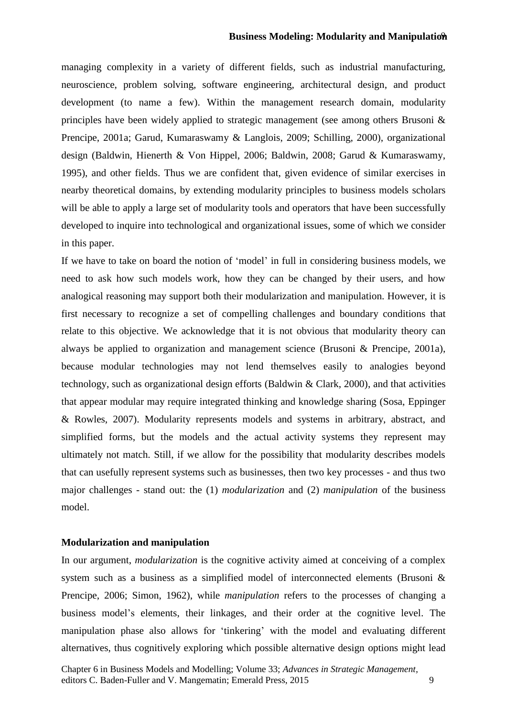managing complexity in a variety of different fields, such as industrial manufacturing, neuroscience, problem solving, software engineering, architectural design, and product development (to name a few). Within the management research domain, modularity principles have been widely applied to strategic management (see among others Brusoni & Prencipe, 2001a; Garud, Kumaraswamy & Langlois, 2009; Schilling, 2000), organizational design (Baldwin, Hienerth & Von Hippel, 2006; Baldwin, 2008; Garud & Kumaraswamy, 1995), and other fields. Thus we are confident that, given evidence of similar exercises in nearby theoretical domains, by extending modularity principles to business models scholars will be able to apply a large set of modularity tools and operators that have been successfully developed to inquire into technological and organizational issues, some of which we consider in this paper.

If we have to take on board the notion of 'model' in full in considering business models, we need to ask how such models work, how they can be changed by their users, and how analogical reasoning may support both their modularization and manipulation. However, it is first necessary to recognize a set of compelling challenges and boundary conditions that relate to this objective. We acknowledge that it is not obvious that modularity theory can always be applied to organization and management science (Brusoni & Prencipe, 2001a), because modular technologies may not lend themselves easily to analogies beyond technology, such as organizational design efforts (Baldwin & Clark, 2000), and that activities that appear modular may require integrated thinking and knowledge sharing (Sosa, Eppinger & Rowles, 2007). Modularity represents models and systems in arbitrary, abstract, and simplified forms, but the models and the actual activity systems they represent may ultimately not match. Still, if we allow for the possibility that modularity describes models that can usefully represent systems such as businesses, then two key processes - and thus two major challenges - stand out: the (1) *modularization* and (2) *manipulation* of the business model.

#### **Modularization and manipulation**

In our argument, *modularization* is the cognitive activity aimed at conceiving of a complex system such as a business as a simplified model of interconnected elements (Brusoni & Prencipe, 2006; Simon, 1962), while *manipulation* refers to the processes of changing a business model's elements, their linkages, and their order at the cognitive level. The manipulation phase also allows for 'tinkering' with the model and evaluating different alternatives, thus cognitively exploring which possible alternative design options might lead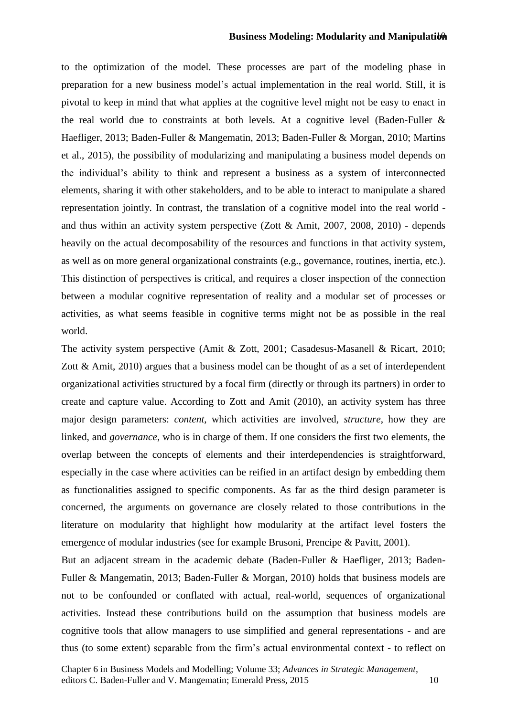to the optimization of the model. These processes are part of the modeling phase in preparation for a new business model's actual implementation in the real world. Still, it is pivotal to keep in mind that what applies at the cognitive level might not be easy to enact in the real world due to constraints at both levels. At a cognitive level (Baden-Fuller & Haefliger, 2013; Baden-Fuller & Mangematin, 2013; Baden-Fuller & Morgan, 2010; Martins et al., 2015), the possibility of modularizing and manipulating a business model depends on the individual's ability to think and represent a business as a system of interconnected elements, sharing it with other stakeholders, and to be able to interact to manipulate a shared representation jointly. In contrast, the translation of a cognitive model into the real world and thus within an activity system perspective (Zott & Amit, 2007, 2008, 2010) - depends heavily on the actual decomposability of the resources and functions in that activity system, as well as on more general organizational constraints (e.g., governance, routines, inertia, etc.). This distinction of perspectives is critical, and requires a closer inspection of the connection between a modular cognitive representation of reality and a modular set of processes or activities, as what seems feasible in cognitive terms might not be as possible in the real world.

The activity system perspective (Amit & Zott, 2001; Casadesus-Masanell & Ricart, 2010; Zott & Amit, 2010) argues that a business model can be thought of as a set of interdependent organizational activities structured by a focal firm (directly or through its partners) in order to create and capture value. According to Zott and Amit (2010), an activity system has three major design parameters: *content*, which activities are involved, *structure*, how they are linked, and *governance*, who is in charge of them. If one considers the first two elements, the overlap between the concepts of elements and their interdependencies is straightforward, especially in the case where activities can be reified in an artifact design by embedding them as functionalities assigned to specific components. As far as the third design parameter is concerned, the arguments on governance are closely related to those contributions in the literature on modularity that highlight how modularity at the artifact level fosters the emergence of modular industries (see for example Brusoni, Prencipe & Pavitt, 2001).

But an adjacent stream in the academic debate (Baden-Fuller & Haefliger, 2013; Baden-Fuller & Mangematin, 2013; Baden-Fuller & Morgan, 2010) holds that business models are not to be confounded or conflated with actual, real-world, sequences of organizational activities. Instead these contributions build on the assumption that business models are cognitive tools that allow managers to use simplified and general representations - and are thus (to some extent) separable from the firm's actual environmental context - to reflect on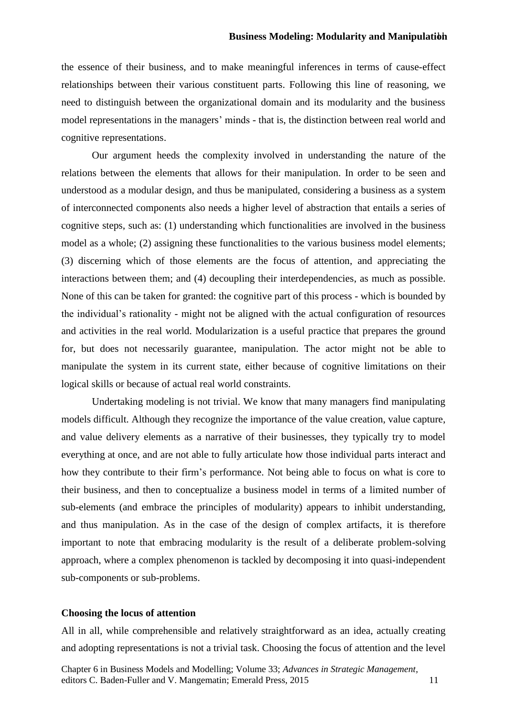the essence of their business, and to make meaningful inferences in terms of cause-effect relationships between their various constituent parts. Following this line of reasoning, we need to distinguish between the organizational domain and its modularity and the business model representations in the managers' minds - that is, the distinction between real world and cognitive representations.

Our argument heeds the complexity involved in understanding the nature of the relations between the elements that allows for their manipulation. In order to be seen and understood as a modular design, and thus be manipulated, considering a business as a system of interconnected components also needs a higher level of abstraction that entails a series of cognitive steps, such as: (1) understanding which functionalities are involved in the business model as a whole; (2) assigning these functionalities to the various business model elements; (3) discerning which of those elements are the focus of attention, and appreciating the interactions between them; and (4) decoupling their interdependencies, as much as possible. None of this can be taken for granted: the cognitive part of this process - which is bounded by the individual's rationality - might not be aligned with the actual configuration of resources and activities in the real world. Modularization is a useful practice that prepares the ground for, but does not necessarily guarantee, manipulation. The actor might not be able to manipulate the system in its current state, either because of cognitive limitations on their logical skills or because of actual real world constraints.

Undertaking modeling is not trivial. We know that many managers find manipulating models difficult. Although they recognize the importance of the value creation, value capture, and value delivery elements as a narrative of their businesses, they typically try to model everything at once, and are not able to fully articulate how those individual parts interact and how they contribute to their firm's performance. Not being able to focus on what is core to their business, and then to conceptualize a business model in terms of a limited number of sub-elements (and embrace the principles of modularity) appears to inhibit understanding, and thus manipulation. As in the case of the design of complex artifacts, it is therefore important to note that embracing modularity is the result of a deliberate problem-solving approach, where a complex phenomenon is tackled by decomposing it into quasi-independent sub-components or sub-problems.

#### **Choosing the locus of attention**

All in all, while comprehensible and relatively straightforward as an idea, actually creating and adopting representations is not a trivial task. Choosing the focus of attention and the level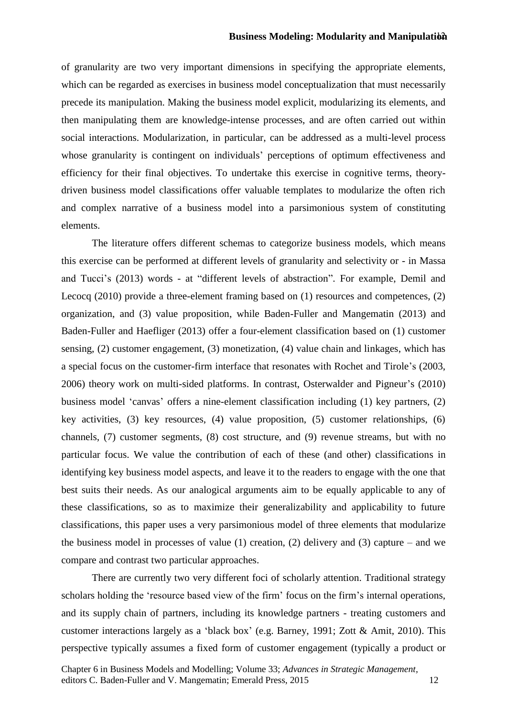of granularity are two very important dimensions in specifying the appropriate elements, which can be regarded as exercises in business model conceptualization that must necessarily precede its manipulation. Making the business model explicit, modularizing its elements, and then manipulating them are knowledge-intense processes, and are often carried out within social interactions. Modularization, in particular, can be addressed as a multi-level process whose granularity is contingent on individuals' perceptions of optimum effectiveness and efficiency for their final objectives. To undertake this exercise in cognitive terms, theorydriven business model classifications offer valuable templates to modularize the often rich and complex narrative of a business model into a parsimonious system of constituting elements.

The literature offers different schemas to categorize business models, which means this exercise can be performed at different levels of granularity and selectivity or - in Massa and Tucci's (2013) words - at "different levels of abstraction". For example, Demil and Lecocq (2010) provide a three-element framing based on (1) resources and competences, (2) organization, and (3) value proposition, while Baden-Fuller and Mangematin (2013) and Baden-Fuller and Haefliger (2013) offer a four-element classification based on (1) customer sensing, (2) customer engagement, (3) monetization, (4) value chain and linkages, which has a special focus on the customer-firm interface that resonates with Rochet and Tirole's (2003, 2006) theory work on multi-sided platforms. In contrast, Osterwalder and Pigneur's (2010) business model 'canvas' offers a nine-element classification including (1) key partners, (2) key activities, (3) key resources, (4) value proposition, (5) customer relationships, (6) channels, (7) customer segments, (8) cost structure, and (9) revenue streams, but with no particular focus. We value the contribution of each of these (and other) classifications in identifying key business model aspects, and leave it to the readers to engage with the one that best suits their needs. As our analogical arguments aim to be equally applicable to any of these classifications, so as to maximize their generalizability and applicability to future classifications, this paper uses a very parsimonious model of three elements that modularize the business model in processes of value  $(1)$  creation,  $(2)$  delivery and  $(3)$  capture – and we compare and contrast two particular approaches.

There are currently two very different foci of scholarly attention. Traditional strategy scholars holding the 'resource based view of the firm' focus on the firm's internal operations, and its supply chain of partners, including its knowledge partners - treating customers and customer interactions largely as a 'black box' (e.g. Barney, 1991; Zott & Amit, 2010). This perspective typically assumes a fixed form of customer engagement (typically a product or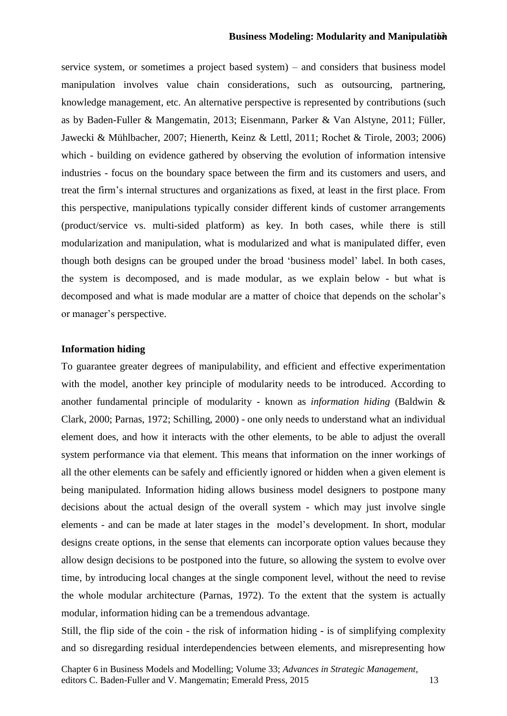service system, or sometimes a project based system) – and considers that business model manipulation involves value chain considerations, such as outsourcing, partnering, knowledge management, etc. An alternative perspective is represented by contributions (such as by Baden-Fuller & Mangematin, 2013; Eisenmann, Parker & Van Alstyne, 2011; Füller, Jawecki & Mühlbacher, 2007; Hienerth, Keinz & Lettl, 2011; Rochet & Tirole, 2003; 2006) which - building on evidence gathered by observing the evolution of information intensive industries - focus on the boundary space between the firm and its customers and users, and treat the firm's internal structures and organizations as fixed, at least in the first place. From this perspective, manipulations typically consider different kinds of customer arrangements (product/service vs. multi-sided platform) as key. In both cases, while there is still modularization and manipulation, what is modularized and what is manipulated differ, even though both designs can be grouped under the broad 'business model' label. In both cases, the system is decomposed, and is made modular, as we explain below - but what is decomposed and what is made modular are a matter of choice that depends on the scholar's or manager's perspective.

## **Information hiding**

To guarantee greater degrees of manipulability, and efficient and effective experimentation with the model, another key principle of modularity needs to be introduced. According to another fundamental principle of modularity - known as *information hiding* (Baldwin & Clark, 2000; Parnas, 1972; Schilling, 2000) - one only needs to understand what an individual element does, and how it interacts with the other elements, to be able to adjust the overall system performance via that element. This means that information on the inner workings of all the other elements can be safely and efficiently ignored or hidden when a given element is being manipulated. Information hiding allows business model designers to postpone many decisions about the actual design of the overall system - which may just involve single elements - and can be made at later stages in the model's development. In short, modular designs create options, in the sense that elements can incorporate option values because they allow design decisions to be postponed into the future, so allowing the system to evolve over time, by introducing local changes at the single component level, without the need to revise the whole modular architecture (Parnas, 1972). To the extent that the system is actually modular, information hiding can be a tremendous advantage.

Still, the flip side of the coin - the risk of information hiding - is of simplifying complexity and so disregarding residual interdependencies between elements, and misrepresenting how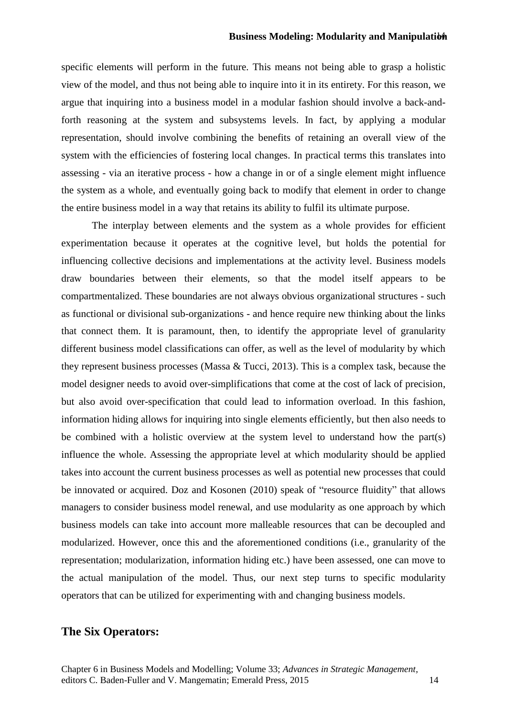specific elements will perform in the future. This means not being able to grasp a holistic view of the model, and thus not being able to inquire into it in its entirety. For this reason, we argue that inquiring into a business model in a modular fashion should involve a back-andforth reasoning at the system and subsystems levels. In fact, by applying a modular representation, should involve combining the benefits of retaining an overall view of the system with the efficiencies of fostering local changes. In practical terms this translates into assessing - via an iterative process - how a change in or of a single element might influence the system as a whole, and eventually going back to modify that element in order to change the entire business model in a way that retains its ability to fulfil its ultimate purpose.

The interplay between elements and the system as a whole provides for efficient experimentation because it operates at the cognitive level, but holds the potential for influencing collective decisions and implementations at the activity level. Business models draw boundaries between their elements, so that the model itself appears to be compartmentalized. These boundaries are not always obvious organizational structures - such as functional or divisional sub-organizations - and hence require new thinking about the links that connect them. It is paramount, then, to identify the appropriate level of granularity different business model classifications can offer, as well as the level of modularity by which they represent business processes (Massa & Tucci, 2013). This is a complex task, because the model designer needs to avoid over-simplifications that come at the cost of lack of precision, but also avoid over-specification that could lead to information overload. In this fashion, information hiding allows for inquiring into single elements efficiently, but then also needs to be combined with a holistic overview at the system level to understand how the part(s) influence the whole. Assessing the appropriate level at which modularity should be applied takes into account the current business processes as well as potential new processes that could be innovated or acquired. Doz and Kosonen (2010) speak of "resource fluidity" that allows managers to consider business model renewal, and use modularity as one approach by which business models can take into account more malleable resources that can be decoupled and modularized. However, once this and the aforementioned conditions (i.e., granularity of the representation; modularization, information hiding etc.) have been assessed, one can move to the actual manipulation of the model. Thus, our next step turns to specific modularity operators that can be utilized for experimenting with and changing business models.

## **The Six Operators:**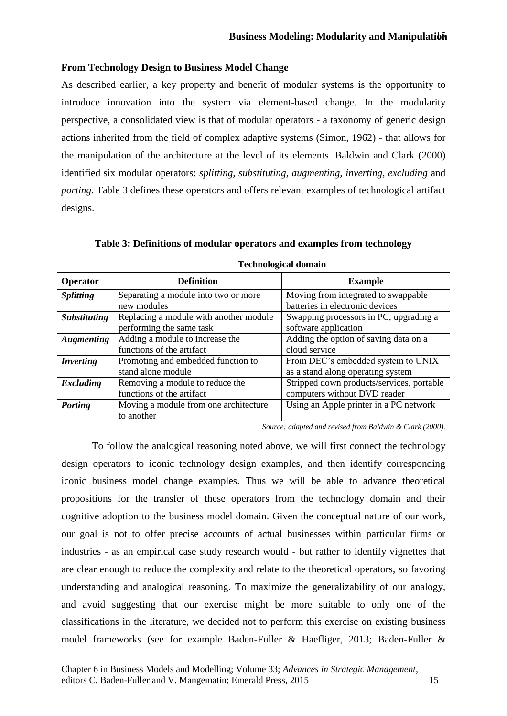## **From Technology Design to Business Model Change**

As described earlier, a key property and benefit of modular systems is the opportunity to introduce innovation into the system via element-based change. In the modularity perspective, a consolidated view is that of modular operators - a taxonomy of generic design actions inherited from the field of complex adaptive systems (Simon, 1962) - that allows for the manipulation of the architecture at the level of its elements. Baldwin and Clark (2000) identified six modular operators: *splitting, substituting, augmenting, inverting, excluding* and *porting*. Table 3 defines these operators and offers relevant examples of technological artifact designs.

|                     | <b>Technological domain</b>                                        |                                                                           |  |
|---------------------|--------------------------------------------------------------------|---------------------------------------------------------------------------|--|
| Operator            | <b>Definition</b>                                                  | <b>Example</b>                                                            |  |
| <b>Splitting</b>    | Separating a module into two or more<br>new modules                | Moving from integrated to swappable<br>batteries in electronic devices    |  |
| <b>Substituting</b> | Replacing a module with another module<br>performing the same task | Swapping processors in PC, upgrading a<br>software application            |  |
| <b>Augmenting</b>   | Adding a module to increase the<br>functions of the artifact       | Adding the option of saving data on a<br>cloud service                    |  |
| <b>Inverting</b>    | Promoting and embedded function to<br>stand alone module           | From DEC's embedded system to UNIX<br>as a stand along operating system   |  |
| Excluding           | Removing a module to reduce the<br>functions of the artifact       | Stripped down products/services, portable<br>computers without DVD reader |  |
| <b>Porting</b>      | Moving a module from one architecture<br>to another                | Using an Apple printer in a PC network                                    |  |

**Table 3: Definitions of modular operators and examples from technology**

*Source: adapted and revised from Baldwin & Clark (2000).*

To follow the analogical reasoning noted above, we will first connect the technology design operators to iconic technology design examples, and then identify corresponding iconic business model change examples. Thus we will be able to advance theoretical propositions for the transfer of these operators from the technology domain and their cognitive adoption to the business model domain. Given the conceptual nature of our work, our goal is not to offer precise accounts of actual businesses within particular firms or industries - as an empirical case study research would - but rather to identify vignettes that are clear enough to reduce the complexity and relate to the theoretical operators, so favoring understanding and analogical reasoning. To maximize the generalizability of our analogy, and avoid suggesting that our exercise might be more suitable to only one of the classifications in the literature, we decided not to perform this exercise on existing business model frameworks (see for example Baden-Fuller & Haefliger, 2013; Baden-Fuller &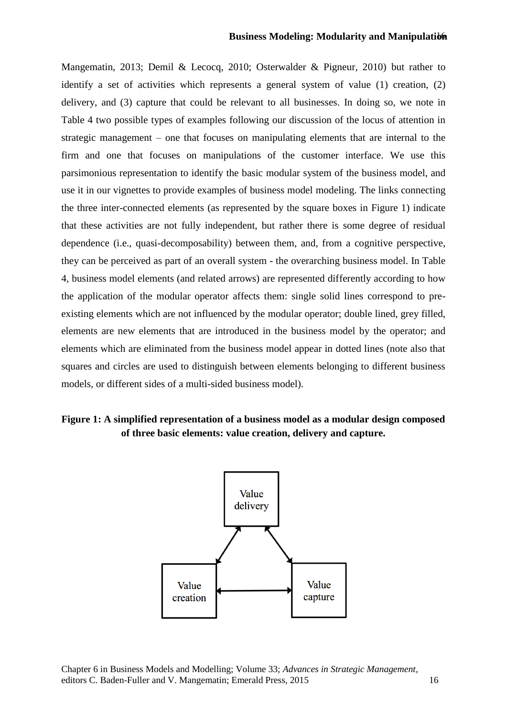Mangematin, 2013; Demil & Lecocq, 2010; Osterwalder & Pigneur, 2010) but rather to identify a set of activities which represents a general system of value (1) creation, (2) delivery, and (3) capture that could be relevant to all businesses. In doing so, we note in Table 4 two possible types of examples following our discussion of the locus of attention in strategic management – one that focuses on manipulating elements that are internal to the firm and one that focuses on manipulations of the customer interface. We use this parsimonious representation to identify the basic modular system of the business model, and use it in our vignettes to provide examples of business model modeling. The links connecting the three inter-connected elements (as represented by the square boxes in Figure 1) indicate that these activities are not fully independent, but rather there is some degree of residual dependence (i.e., quasi-decomposability) between them, and, from a cognitive perspective, they can be perceived as part of an overall system - the overarching business model. In Table 4, business model elements (and related arrows) are represented differently according to how the application of the modular operator affects them: single solid lines correspond to preexisting elements which are not influenced by the modular operator; double lined, grey filled, elements are new elements that are introduced in the business model by the operator; and elements which are eliminated from the business model appear in dotted lines (note also that squares and circles are used to distinguish between elements belonging to different business models, or different sides of a multi-sided business model).

## **Figure 1: A simplified representation of a business model as a modular design composed of three basic elements: value creation, delivery and capture.**

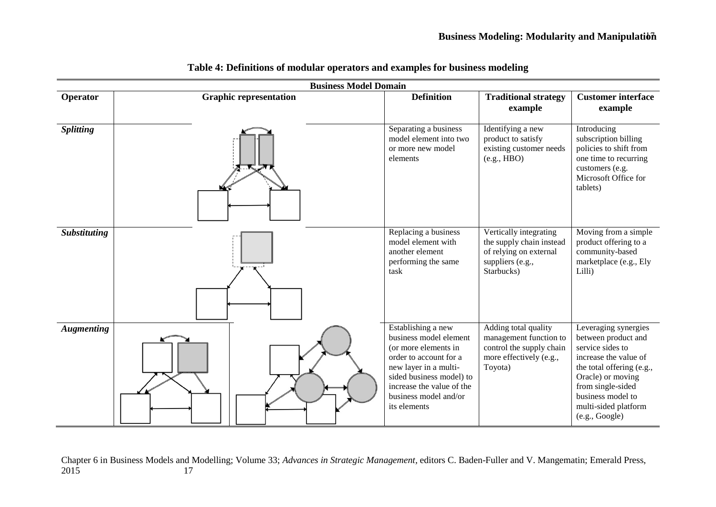| <b>Business Model Domain</b> |                               |                                                                                                                                                                                                                           |                                                                                                                  |                                                                                                                                                                                                                                |
|------------------------------|-------------------------------|---------------------------------------------------------------------------------------------------------------------------------------------------------------------------------------------------------------------------|------------------------------------------------------------------------------------------------------------------|--------------------------------------------------------------------------------------------------------------------------------------------------------------------------------------------------------------------------------|
| Operator                     | <b>Graphic representation</b> | <b>Definition</b>                                                                                                                                                                                                         | <b>Traditional strategy</b><br>example                                                                           | <b>Customer interface</b><br>example                                                                                                                                                                                           |
| <b>Splitting</b>             |                               | Separating a business<br>model element into two<br>or more new model<br>elements                                                                                                                                          | Identifying a new<br>product to satisfy<br>existing customer needs<br>(e.g., HBO)                                | Introducing<br>subscription billing<br>policies to shift from<br>one time to recurring<br>customers (e.g.<br>Microsoft Office for<br>tablets)                                                                                  |
| <b>Substituting</b>          |                               | Replacing a business<br>model element with<br>another element<br>performing the same<br>task                                                                                                                              | Vertically integrating<br>the supply chain instead<br>of relying on external<br>suppliers (e.g.,<br>Starbucks)   | Moving from a simple<br>product offering to a<br>community-based<br>marketplace (e.g., Ely<br>Lilli)                                                                                                                           |
| <b>Augmenting</b>            |                               | Establishing a new<br>business model element<br>(or more elements in<br>order to account for a<br>new layer in a multi-<br>sided business model) to<br>increase the value of the<br>business model and/or<br>its elements | Adding total quality<br>management function to<br>control the supply chain<br>more effectively (e.g.,<br>Toyota) | Leveraging synergies<br>between product and<br>service sides to<br>increase the value of<br>the total offering (e.g.,<br>Oracle) or moving<br>from single-sided<br>business model to<br>multi-sided platform<br>(e.g., Google) |

## **Table 4: Definitions of modular operators and examples for business modeling**

Chapter 6 in Business Models and Modelling; Volume 33; *Advances in Strategic Management,* editors C. Baden-Fuller and V. Mangematin; Emerald Press,  $201\bar{5}$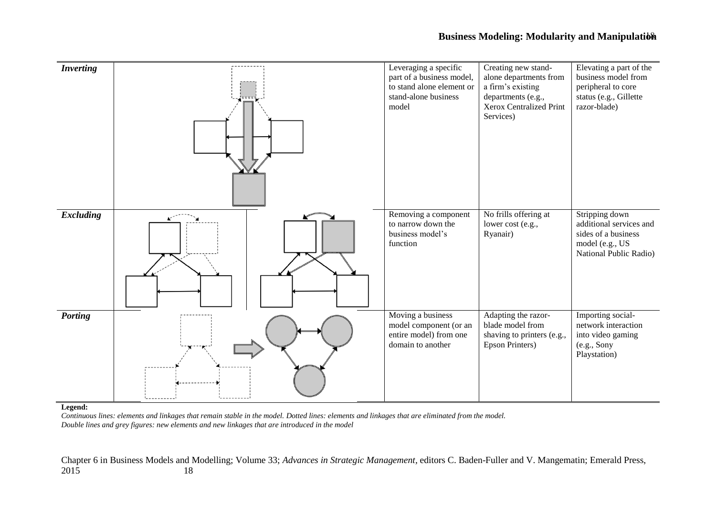

#### **Legend:**

*Continuous lines: elements and linkages that remain stable in the model. Dotted lines: elements and linkages that are eliminated from the model. Double lines and grey figures: new elements and new linkages that are introduced in the model*

Chapter 6 in Business Models and Modelling; Volume 33; *Advances in Strategic Management,* editors C. Baden-Fuller and V. Mangematin; Emerald Press, 2015 18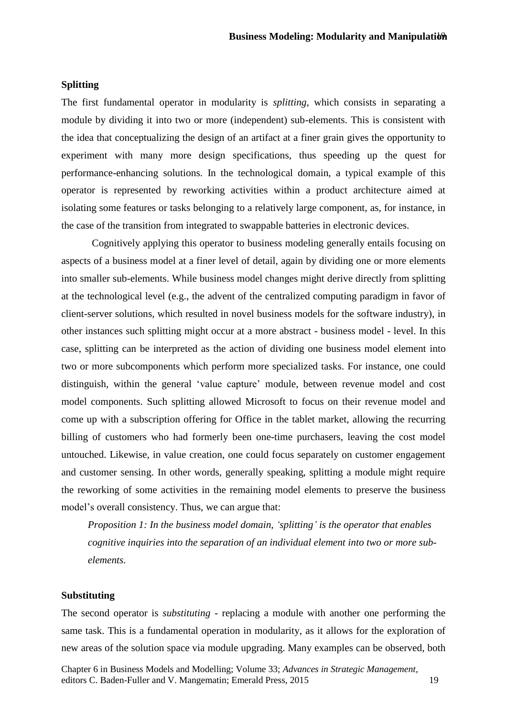## **Splitting**

The first fundamental operator in modularity is *splitting*, which consists in separating a module by dividing it into two or more (independent) sub-elements. This is consistent with the idea that conceptualizing the design of an artifact at a finer grain gives the opportunity to experiment with many more design specifications, thus speeding up the quest for performance-enhancing solutions. In the technological domain, a typical example of this operator is represented by reworking activities within a product architecture aimed at isolating some features or tasks belonging to a relatively large component, as, for instance, in the case of the transition from integrated to swappable batteries in electronic devices.

Cognitively applying this operator to business modeling generally entails focusing on aspects of a business model at a finer level of detail, again by dividing one or more elements into smaller sub-elements. While business model changes might derive directly from splitting at the technological level (e.g., the advent of the centralized computing paradigm in favor of client-server solutions, which resulted in novel business models for the software industry), in other instances such splitting might occur at a more abstract - business model - level. In this case, splitting can be interpreted as the action of dividing one business model element into two or more subcomponents which perform more specialized tasks. For instance, one could distinguish, within the general 'value capture' module, between revenue model and cost model components. Such splitting allowed Microsoft to focus on their revenue model and come up with a subscription offering for Office in the tablet market, allowing the recurring billing of customers who had formerly been one-time purchasers, leaving the cost model untouched. Likewise, in value creation, one could focus separately on customer engagement and customer sensing. In other words, generally speaking, splitting a module might require the reworking of some activities in the remaining model elements to preserve the business model's overall consistency. Thus, we can argue that:

*Proposition 1: In the business model domain, 'splitting' is the operator that enables cognitive inquiries into the separation of an individual element into two or more subelements.* 

## **Substituting**

The second operator is *substituting* - replacing a module with another one performing the same task. This is a fundamental operation in modularity, as it allows for the exploration of new areas of the solution space via module upgrading. Many examples can be observed, both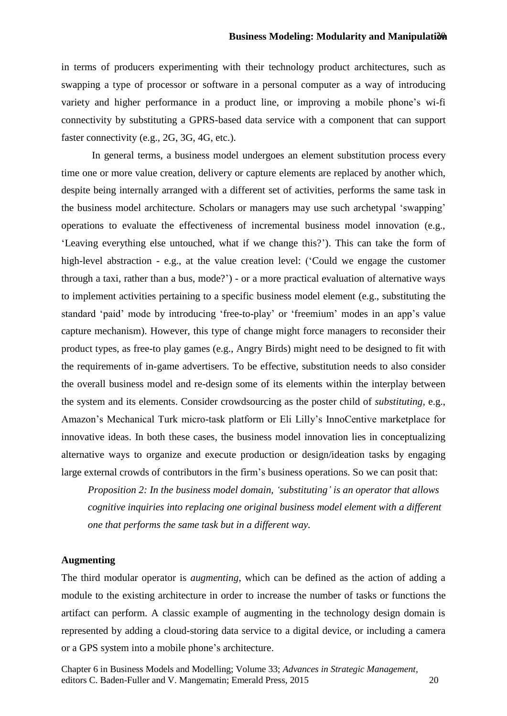in terms of producers experimenting with their technology product architectures, such as swapping a type of processor or software in a personal computer as a way of introducing variety and higher performance in a product line, or improving a mobile phone's wi-fi connectivity by substituting a GPRS-based data service with a component that can support faster connectivity (e.g., 2G, 3G, 4G, etc.).

In general terms, a business model undergoes an element substitution process every time one or more value creation, delivery or capture elements are replaced by another which, despite being internally arranged with a different set of activities, performs the same task in the business model architecture. Scholars or managers may use such archetypal 'swapping' operations to evaluate the effectiveness of incremental business model innovation (e.g., 'Leaving everything else untouched, what if we change this?'). This can take the form of high-level abstraction - e.g., at the value creation level: ('Could we engage the customer through a taxi, rather than a bus, mode?') - or a more practical evaluation of alternative ways to implement activities pertaining to a specific business model element (e.g., substituting the standard 'paid' mode by introducing 'free-to-play' or 'freemium' modes in an app's value capture mechanism). However, this type of change might force managers to reconsider their product types, as free-to play games (e.g., Angry Birds) might need to be designed to fit with the requirements of in-game advertisers. To be effective, substitution needs to also consider the overall business model and re-design some of its elements within the interplay between the system and its elements. Consider crowdsourcing as the poster child of *substituting,* e.g., Amazon's Mechanical Turk micro-task platform or Eli Lilly's InnoCentive marketplace for innovative ideas. In both these cases, the business model innovation lies in conceptualizing alternative ways to organize and execute production or design/ideation tasks by engaging large external crowds of contributors in the firm's business operations. So we can posit that:

*Proposition 2: In the business model domain, 'substituting' is an operator that allows cognitive inquiries into replacing one original business model element with a different one that performs the same task but in a different way.* 

## **Augmenting**

The third modular operator is *augmenting*, which can be defined as the action of adding a module to the existing architecture in order to increase the number of tasks or functions the artifact can perform. A classic example of augmenting in the technology design domain is represented by adding a cloud-storing data service to a digital device, or including a camera or a GPS system into a mobile phone's architecture.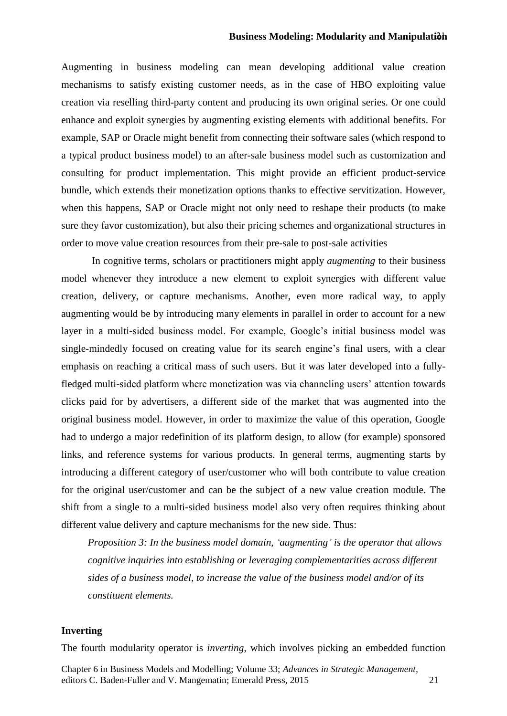Augmenting in business modeling can mean developing additional value creation mechanisms to satisfy existing customer needs, as in the case of HBO exploiting value creation via reselling third-party content and producing its own original series. Or one could enhance and exploit synergies by augmenting existing elements with additional benefits. For example, SAP or Oracle might benefit from connecting their software sales (which respond to a typical product business model) to an after-sale business model such as customization and consulting for product implementation. This might provide an efficient product-service bundle, which extends their monetization options thanks to effective servitization. However, when this happens, SAP or Oracle might not only need to reshape their products (to make sure they favor customization), but also their pricing schemes and organizational structures in order to move value creation resources from their pre-sale to post-sale activities

In cognitive terms, scholars or practitioners might apply *augmenting* to their business model whenever they introduce a new element to exploit synergies with different value creation, delivery, or capture mechanisms. Another, even more radical way, to apply augmenting would be by introducing many elements in parallel in order to account for a new layer in a multi-sided business model. For example, Google's initial business model was single-mindedly focused on creating value for its search engine's final users, with a clear emphasis on reaching a critical mass of such users. But it was later developed into a fullyfledged multi-sided platform where monetization was via channeling users' attention towards clicks paid for by advertisers, a different side of the market that was augmented into the original business model. However, in order to maximize the value of this operation, Google had to undergo a major redefinition of its platform design, to allow (for example) sponsored links, and reference systems for various products. In general terms, augmenting starts by introducing a different category of user/customer who will both contribute to value creation for the original user/customer and can be the subject of a new value creation module. The shift from a single to a multi-sided business model also very often requires thinking about different value delivery and capture mechanisms for the new side. Thus:

*Proposition 3: In the business model domain, 'augmenting' is the operator that allows cognitive inquiries into establishing or leveraging complementarities across different sides of a business model, to increase the value of the business model and/or of its constituent elements.*

## **Inverting**

The fourth modularity operator is *inverting*, which involves picking an embedded function

Chapter 6 in Business Models and Modelling; Volume 33; *Advances in Strategic Management,* editors C. Baden-Fuller and V. Mangematin; Emerald Press, 2015 21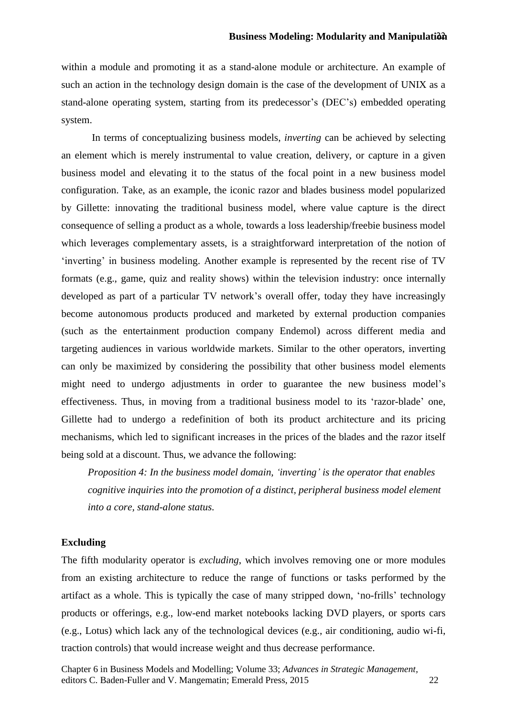within a module and promoting it as a stand-alone module or architecture. An example of such an action in the technology design domain is the case of the development of UNIX as a stand-alone operating system, starting from its predecessor's (DEC's) embedded operating system.

In terms of conceptualizing business models, *inverting* can be achieved by selecting an element which is merely instrumental to value creation, delivery, or capture in a given business model and elevating it to the status of the focal point in a new business model configuration. Take, as an example, the iconic razor and blades business model popularized by Gillette: innovating the traditional business model, where value capture is the direct consequence of selling a product as a whole, towards a loss leadership/freebie business model which leverages complementary assets, is a straightforward interpretation of the notion of 'inverting' in business modeling. Another example is represented by the recent rise of TV formats (e.g., game, quiz and reality shows) within the television industry: once internally developed as part of a particular TV network's overall offer, today they have increasingly become autonomous products produced and marketed by external production companies (such as the entertainment production company Endemol) across different media and targeting audiences in various worldwide markets. Similar to the other operators, inverting can only be maximized by considering the possibility that other business model elements might need to undergo adjustments in order to guarantee the new business model's effectiveness. Thus, in moving from a traditional business model to its 'razor-blade' one, Gillette had to undergo a redefinition of both its product architecture and its pricing mechanisms, which led to significant increases in the prices of the blades and the razor itself being sold at a discount. Thus, we advance the following:

*Proposition 4: In the business model domain, 'inverting' is the operator that enables cognitive inquiries into the promotion of a distinct, peripheral business model element into a core, stand-alone status.*

## **Excluding**

The fifth modularity operator is *excluding*, which involves removing one or more modules from an existing architecture to reduce the range of functions or tasks performed by the artifact as a whole. This is typically the case of many stripped down, 'no-frills' technology products or offerings, e.g., low-end market notebooks lacking DVD players, or sports cars (e.g., Lotus) which lack any of the technological devices (e.g., air conditioning, audio wi-fi, traction controls) that would increase weight and thus decrease performance.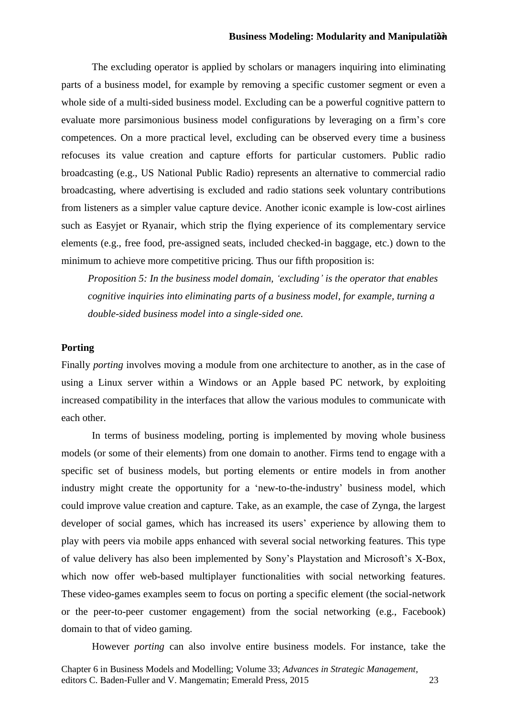The excluding operator is applied by scholars or managers inquiring into eliminating parts of a business model, for example by removing a specific customer segment or even a whole side of a multi-sided business model. Excluding can be a powerful cognitive pattern to evaluate more parsimonious business model configurations by leveraging on a firm's core competences. On a more practical level, excluding can be observed every time a business refocuses its value creation and capture efforts for particular customers. Public radio broadcasting (e.g., US National Public Radio) represents an alternative to commercial radio broadcasting, where advertising is excluded and radio stations seek voluntary contributions from listeners as a simpler value capture device. Another iconic example is low-cost airlines such as Easyjet or Ryanair, which strip the flying experience of its complementary service elements (e.g., free food, pre-assigned seats, included checked-in baggage, etc.) down to the minimum to achieve more competitive pricing. Thus our fifth proposition is:

*Proposition 5: In the business model domain, 'excluding' is the operator that enables cognitive inquiries into eliminating parts of a business model, for example, turning a double-sided business model into a single-sided one.*

## **Porting**

Finally *porting* involves moving a module from one architecture to another, as in the case of using a Linux server within a Windows or an Apple based PC network, by exploiting increased compatibility in the interfaces that allow the various modules to communicate with each other.

In terms of business modeling, porting is implemented by moving whole business models (or some of their elements) from one domain to another. Firms tend to engage with a specific set of business models, but porting elements or entire models in from another industry might create the opportunity for a 'new-to-the-industry' business model, which could improve value creation and capture. Take, as an example, the case of Zynga, the largest developer of social games, which has increased its users' experience by allowing them to play with peers via mobile apps enhanced with several social networking features. This type of value delivery has also been implemented by Sony's Playstation and Microsoft's X-Box, which now offer web-based multiplayer functionalities with social networking features. These video-games examples seem to focus on porting a specific element (the social-network or the peer-to-peer customer engagement) from the social networking (e.g., Facebook) domain to that of video gaming.

However *porting* can also involve entire business models. For instance, take the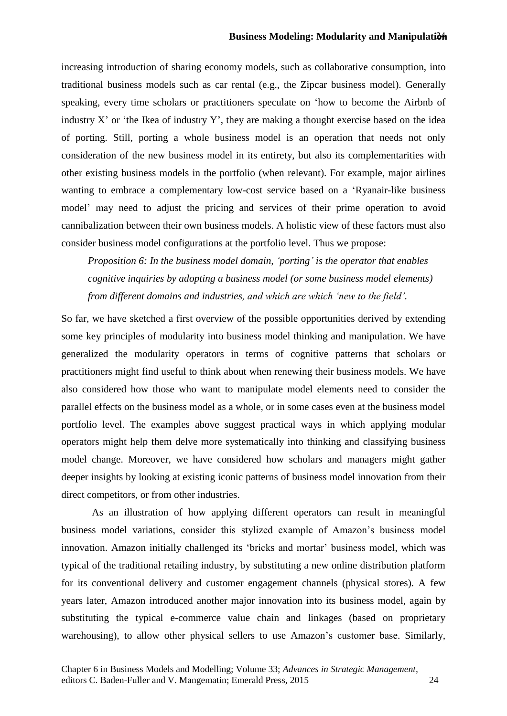increasing introduction of sharing economy models, such as collaborative consumption, into traditional business models such as car rental (e.g., the Zipcar business model). Generally speaking, every time scholars or practitioners speculate on 'how to become the Airbnb of industry  $X'$  or 'the Ikea of industry  $Y'$ , they are making a thought exercise based on the idea of porting. Still, porting a whole business model is an operation that needs not only consideration of the new business model in its entirety, but also its complementarities with other existing business models in the portfolio (when relevant). For example, major airlines wanting to embrace a complementary low-cost service based on a 'Ryanair-like business model' may need to adjust the pricing and services of their prime operation to avoid cannibalization between their own business models. A holistic view of these factors must also consider business model configurations at the portfolio level. Thus we propose:

*Proposition 6: In the business model domain, 'porting' is the operator that enables cognitive inquiries by adopting a business model (or some business model elements) from different domains and industries, and which are which 'new to the field'.*

So far, we have sketched a first overview of the possible opportunities derived by extending some key principles of modularity into business model thinking and manipulation. We have generalized the modularity operators in terms of cognitive patterns that scholars or practitioners might find useful to think about when renewing their business models. We have also considered how those who want to manipulate model elements need to consider the parallel effects on the business model as a whole, or in some cases even at the business model portfolio level. The examples above suggest practical ways in which applying modular operators might help them delve more systematically into thinking and classifying business model change. Moreover, we have considered how scholars and managers might gather deeper insights by looking at existing iconic patterns of business model innovation from their direct competitors, or from other industries.

As an illustration of how applying different operators can result in meaningful business model variations, consider this stylized example of Amazon's business model innovation. Amazon initially challenged its 'bricks and mortar' business model, which was typical of the traditional retailing industry, by substituting a new online distribution platform for its conventional delivery and customer engagement channels (physical stores). A few years later, Amazon introduced another major innovation into its business model, again by substituting the typical e-commerce value chain and linkages (based on proprietary warehousing), to allow other physical sellers to use Amazon's customer base. Similarly,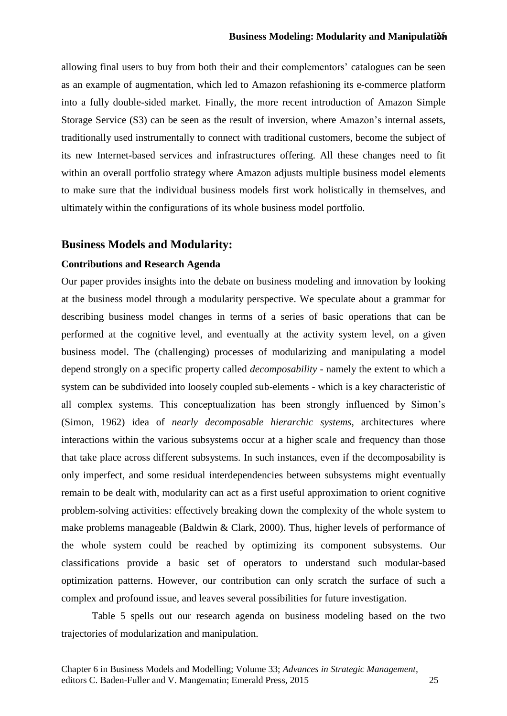allowing final users to buy from both their and their complementors' catalogues can be seen as an example of augmentation, which led to Amazon refashioning its e-commerce platform into a fully double-sided market. Finally, the more recent introduction of Amazon Simple Storage Service (S3) can be seen as the result of inversion, where Amazon's internal assets, traditionally used instrumentally to connect with traditional customers, become the subject of its new Internet-based services and infrastructures offering. All these changes need to fit within an overall portfolio strategy where Amazon adjusts multiple business model elements to make sure that the individual business models first work holistically in themselves, and ultimately within the configurations of its whole business model portfolio.

## **Business Models and Modularity:**

## **Contributions and Research Agenda**

Our paper provides insights into the debate on business modeling and innovation by looking at the business model through a modularity perspective. We speculate about a grammar for describing business model changes in terms of a series of basic operations that can be performed at the cognitive level, and eventually at the activity system level, on a given business model. The (challenging) processes of modularizing and manipulating a model depend strongly on a specific property called *decomposability -* namely the extent to which a system can be subdivided into loosely coupled sub-elements - which is a key characteristic of all complex systems. This conceptualization has been strongly influenced by Simon's (Simon, 1962) idea of *nearly decomposable hierarchic systems*, architectures where interactions within the various subsystems occur at a higher scale and frequency than those that take place across different subsystems. In such instances, even if the decomposability is only imperfect, and some residual interdependencies between subsystems might eventually remain to be dealt with, modularity can act as a first useful approximation to orient cognitive problem-solving activities: effectively breaking down the complexity of the whole system to make problems manageable (Baldwin & Clark, 2000). Thus, higher levels of performance of the whole system could be reached by optimizing its component subsystems. Our classifications provide a basic set of operators to understand such modular-based optimization patterns. However, our contribution can only scratch the surface of such a complex and profound issue, and leaves several possibilities for future investigation.

Table 5 spells out our research agenda on business modeling based on the two trajectories of modularization and manipulation.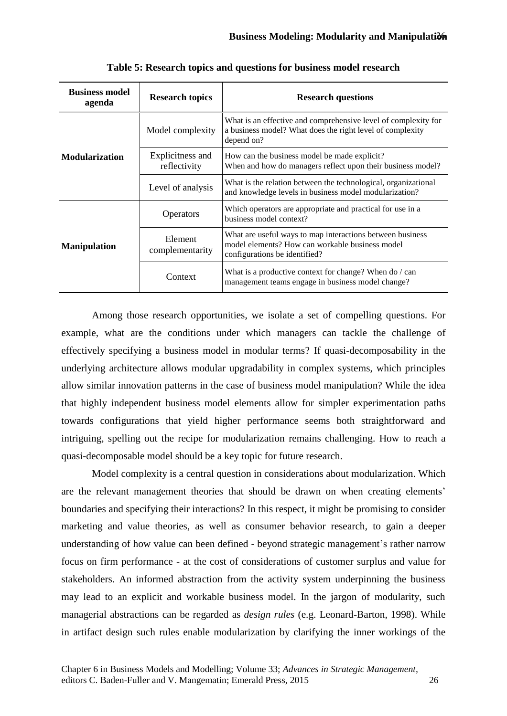| <b>Business model</b><br>agenda | <b>Research topics</b>           | <b>Research questions</b>                                                                                                                     |  |
|---------------------------------|----------------------------------|-----------------------------------------------------------------------------------------------------------------------------------------------|--|
| <b>Modularization</b>           | Model complexity                 | What is an effective and comprehensive level of complexity for<br>a business model? What does the right level of complexity<br>depend on?     |  |
|                                 | Explicitness and<br>reflectivity | How can the business model be made explicit?<br>When and how do managers reflect upon their business model?                                   |  |
|                                 | Level of analysis                | What is the relation between the technological, organizational<br>and knowledge levels in business model modularization?                      |  |
|                                 | <b>Operators</b>                 | Which operators are appropriate and practical for use in a<br>business model context?                                                         |  |
| <b>Manipulation</b>             | Element<br>complementarity       | What are useful ways to map interactions between business<br>model elements? How can workable business model<br>configurations be identified? |  |
|                                 | Context                          | What is a productive context for change? When do / can<br>management teams engage in business model change?                                   |  |

**Table 5: Research topics and questions for business model research**

Among those research opportunities, we isolate a set of compelling questions. For example, what are the conditions under which managers can tackle the challenge of effectively specifying a business model in modular terms? If quasi-decomposability in the underlying architecture allows modular upgradability in complex systems, which principles allow similar innovation patterns in the case of business model manipulation? While the idea that highly independent business model elements allow for simpler experimentation paths towards configurations that yield higher performance seems both straightforward and intriguing, spelling out the recipe for modularization remains challenging. How to reach a quasi-decomposable model should be a key topic for future research.

Model complexity is a central question in considerations about modularization. Which are the relevant management theories that should be drawn on when creating elements' boundaries and specifying their interactions? In this respect, it might be promising to consider marketing and value theories, as well as consumer behavior research, to gain a deeper understanding of how value can been defined - beyond strategic management's rather narrow focus on firm performance - at the cost of considerations of customer surplus and value for stakeholders. An informed abstraction from the activity system underpinning the business may lead to an explicit and workable business model. In the jargon of modularity, such managerial abstractions can be regarded as *design rules* (e.g. Leonard-Barton, 1998). While in artifact design such rules enable modularization by clarifying the inner workings of the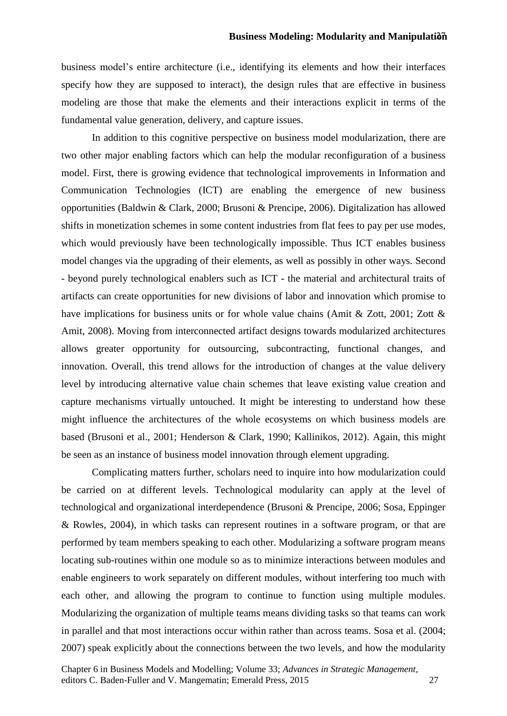business model's entire architecture (i.e., identifying its elements and how their interfaces specify how they are supposed to interact), the design rules that are effective in business modeling are those that make the elements and their interactions explicit in terms of the fundamental value generation, delivery, and capture issues.

In addition to this cognitive perspective on business model modularization, there are two other major enabling factors which can help the modular reconfiguration of a business model. First, there is growing evidence that technological improvements in Information and Communication Technologies (ICT) are enabling the emergence of new business opportunities (Baldwin & Clark, 2000; Brusoni & Prencipe, 2006). Digitalization has allowed shifts in monetization schemes in some content industries from flat fees to pay per use modes, which would previously have been technologically impossible. Thus ICT enables business model changes via the upgrading of their elements, as well as possibly in other ways. Second - beyond purely technological enablers such as ICT - the material and architectural traits of artifacts can create opportunities for new divisions of labor and innovation which promise to have implications for business units or for whole value chains (Amit & Zott, 2001; Zott & Amit, 2008). Moving from interconnected artifact designs towards modularized architectures allows greater opportunity for outsourcing, subcontracting, functional changes, and innovation. Overall, this trend allows for the introduction of changes at the value delivery level by introducing alternative value chain schemes that leave existing value creation and capture mechanisms virtually untouched. It might be interesting to understand how these might influence the architectures of the whole ecosystems on which business models are based (Brusoni et al., 2001; Henderson & Clark, 1990; Kallinikos, 2012). Again, this might be seen as an instance of business model innovation through element upgrading.

Complicating matters further, scholars need to inquire into how modularization could be carried on at different levels. Technological modularity can apply at the level of technological and organizational interdependence (Brusoni & Prencipe, 2006; Sosa, Eppinger & Rowles, 2004), in which tasks can represent routines in a software program, or that are performed by team members speaking to each other. Modularizing a software program means locating sub-routines within one module so as to minimize interactions between modules and enable engineers to work separately on different modules, without interfering too much with each other, and allowing the program to continue to function using multiple modules. Modularizing the organization of multiple teams means dividing tasks so that teams can work in parallel and that most interactions occur within rather than across teams. Sosa et al. (2004; 2007) speak explicitly about the connections between the two levels, and how the modularity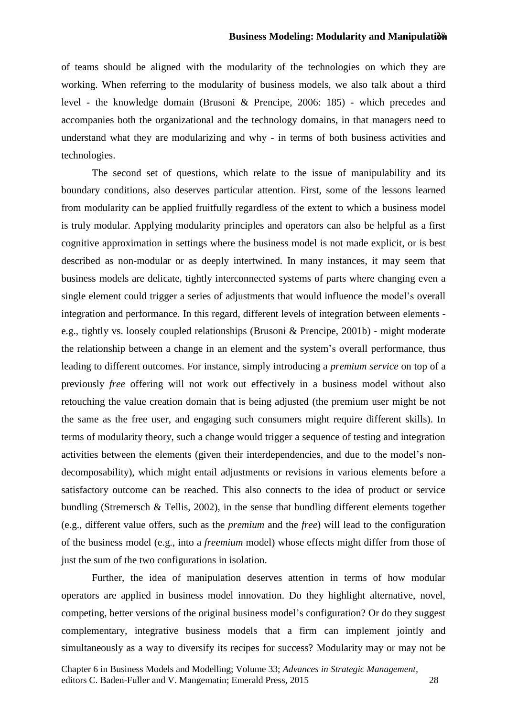of teams should be aligned with the modularity of the technologies on which they are working. When referring to the modularity of business models, we also talk about a third level - the knowledge domain (Brusoni & Prencipe, 2006: 185) - which precedes and accompanies both the organizational and the technology domains, in that managers need to understand what they are modularizing and why - in terms of both business activities and technologies.

The second set of questions, which relate to the issue of manipulability and its boundary conditions, also deserves particular attention. First, some of the lessons learned from modularity can be applied fruitfully regardless of the extent to which a business model is truly modular. Applying modularity principles and operators can also be helpful as a first cognitive approximation in settings where the business model is not made explicit, or is best described as non-modular or as deeply intertwined. In many instances, it may seem that business models are delicate, tightly interconnected systems of parts where changing even a single element could trigger a series of adjustments that would influence the model's overall integration and performance. In this regard, different levels of integration between elements e.g., tightly vs. loosely coupled relationships (Brusoni & Prencipe, 2001b) - might moderate the relationship between a change in an element and the system's overall performance, thus leading to different outcomes. For instance, simply introducing a *premium service* on top of a previously *free* offering will not work out effectively in a business model without also retouching the value creation domain that is being adjusted (the premium user might be not the same as the free user, and engaging such consumers might require different skills). In terms of modularity theory, such a change would trigger a sequence of testing and integration activities between the elements (given their interdependencies, and due to the model's nondecomposability), which might entail adjustments or revisions in various elements before a satisfactory outcome can be reached. This also connects to the idea of product or service bundling (Stremersch & Tellis, 2002), in the sense that bundling different elements together (e.g., different value offers, such as the *premium* and the *free*) will lead to the configuration of the business model (e.g., into a *freemium* model) whose effects might differ from those of just the sum of the two configurations in isolation.

Further, the idea of manipulation deserves attention in terms of how modular operators are applied in business model innovation. Do they highlight alternative, novel, competing, better versions of the original business model's configuration? Or do they suggest complementary, integrative business models that a firm can implement jointly and simultaneously as a way to diversify its recipes for success? Modularity may or may not be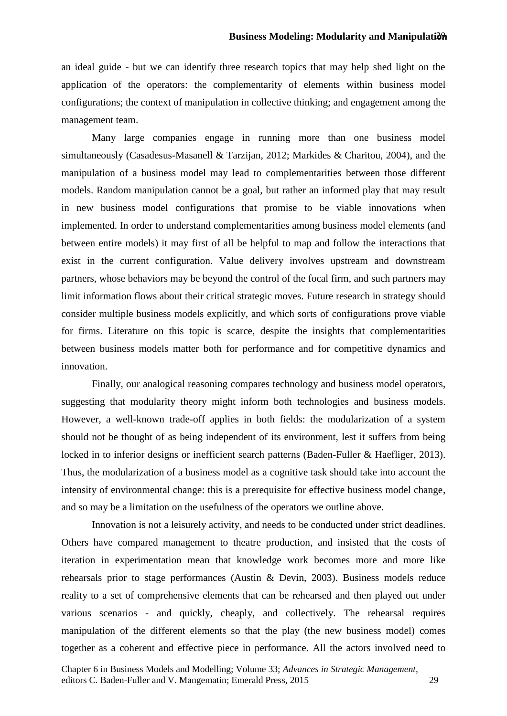an ideal guide - but we can identify three research topics that may help shed light on the application of the operators: the complementarity of elements within business model configurations; the context of manipulation in collective thinking; and engagement among the management team.

Many large companies engage in running more than one business model simultaneously (Casadesus-Masanell & Tarzijan, 2012; Markides & Charitou, 2004), and the manipulation of a business model may lead to complementarities between those different models. Random manipulation cannot be a goal, but rather an informed play that may result in new business model configurations that promise to be viable innovations when implemented. In order to understand complementarities among business model elements (and between entire models) it may first of all be helpful to map and follow the interactions that exist in the current configuration. Value delivery involves upstream and downstream partners, whose behaviors may be beyond the control of the focal firm, and such partners may limit information flows about their critical strategic moves. Future research in strategy should consider multiple business models explicitly, and which sorts of configurations prove viable for firms. Literature on this topic is scarce, despite the insights that complementarities between business models matter both for performance and for competitive dynamics and innovation.

Finally, our analogical reasoning compares technology and business model operators, suggesting that modularity theory might inform both technologies and business models. However, a well-known trade-off applies in both fields: the modularization of a system should not be thought of as being independent of its environment, lest it suffers from being locked in to inferior designs or inefficient search patterns (Baden-Fuller & Haefliger, 2013). Thus, the modularization of a business model as a cognitive task should take into account the intensity of environmental change: this is a prerequisite for effective business model change, and so may be a limitation on the usefulness of the operators we outline above.

Innovation is not a leisurely activity, and needs to be conducted under strict deadlines. Others have compared management to theatre production, and insisted that the costs of iteration in experimentation mean that knowledge work becomes more and more like rehearsals prior to stage performances (Austin & Devin, 2003). Business models reduce reality to a set of comprehensive elements that can be rehearsed and then played out under various scenarios - and quickly, cheaply, and collectively. The rehearsal requires manipulation of the different elements so that the play (the new business model) comes together as a coherent and effective piece in performance. All the actors involved need to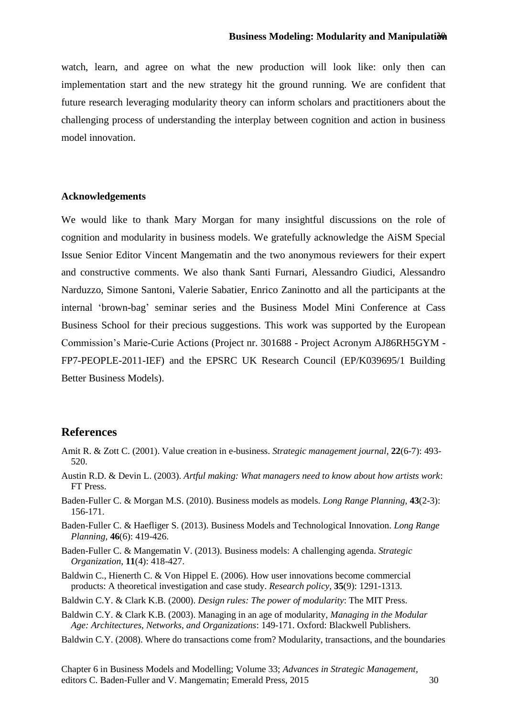watch, learn, and agree on what the new production will look like: only then can implementation start and the new strategy hit the ground running. We are confident that future research leveraging modularity theory can inform scholars and practitioners about the challenging process of understanding the interplay between cognition and action in business model innovation.

## **Acknowledgements**

We would like to thank Mary Morgan for many insightful discussions on the role of cognition and modularity in business models. We gratefully acknowledge the AiSM Special Issue Senior Editor Vincent Mangematin and the two anonymous reviewers for their expert and constructive comments. We also thank Santi Furnari, Alessandro Giudici, Alessandro Narduzzo, Simone Santoni, Valerie Sabatier, Enrico Zaninotto and all the participants at the internal 'brown-bag' seminar series and the Business Model Mini Conference at Cass Business School for their precious suggestions. This work was supported by the European Commission's Marie-Curie Actions (Project nr. 301688 - Project Acronym AJ86RH5GYM - FP7-PEOPLE-2011-IEF) and the EPSRC UK Research Council (EP/K039695/1 Building Better Business Models).

## **References**

- Amit R. & Zott C. (2001). Value creation in e-business. *Strategic management journal*, **22**(6-7): 493- 520.
- Austin R.D. & Devin L. (2003). *Artful making: What managers need to know about how artists work*: FT Press.
- Baden-Fuller C. & Morgan M.S. (2010). Business models as models. *Long Range Planning*, **43**(2-3): 156-171.
- Baden-Fuller C. & Haefliger S. (2013). Business Models and Technological Innovation. *Long Range Planning*, **46**(6): 419-426.
- Baden-Fuller C. & Mangematin V. (2013). Business models: A challenging agenda. *Strategic Organization*, **11**(4): 418-427.
- Baldwin C., Hienerth C. & Von Hippel E. (2006). How user innovations become commercial products: A theoretical investigation and case study. *Research policy*, **35**(9): 1291-1313.
- Baldwin C.Y. & Clark K.B. (2000). *Design rules: The power of modularity*: The MIT Press.
- Baldwin C.Y. & Clark K.B. (2003). Managing in an age of modularity, *Managing in the Modular Age: Architectures, Networks, and Organizations*: 149-171. Oxford: Blackwell Publishers.
- Baldwin C.Y. (2008). Where do transactions come from? Modularity, transactions, and the boundaries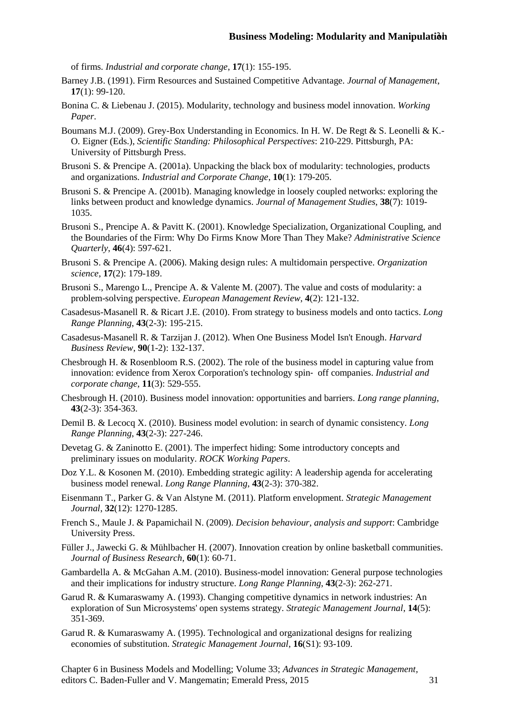of firms. *Industrial and corporate change*, **17**(1): 155-195.

- Barney J.B. (1991). Firm Resources and Sustained Competitive Advantage. *Journal of Management*, **17**(1): 99-120.
- Bonina C. & Liebenau J. (2015). Modularity, technology and business model innovation. *Working Paper*.
- Boumans M.J. (2009). Grey-Box Understanding in Economics. In H. W. De Regt & S. Leonelli & K.- O. Eigner (Eds.), *Scientific Standing: Philosophical Perspectives*: 210-229. Pittsburgh, PA: University of Pittsburgh Press.
- Brusoni S. & Prencipe A. (2001a). Unpacking the black box of modularity: technologies, products and organizations. *Industrial and Corporate Change*, **10**(1): 179-205.
- Brusoni S. & Prencipe A. (2001b). Managing knowledge in loosely coupled networks: exploring the links between product and knowledge dynamics. *Journal of Management Studies*, **38**(7): 1019- 1035.
- Brusoni S., Prencipe A. & Pavitt K. (2001). Knowledge Specialization, Organizational Coupling, and the Boundaries of the Firm: Why Do Firms Know More Than They Make? *Administrative Science Quarterly*, **46**(4): 597-621.
- Brusoni S. & Prencipe A. (2006). Making design rules: A multidomain perspective. *Organization science*, **17**(2): 179-189.
- Brusoni S., Marengo L., Prencipe A. & Valente M. (2007). The value and costs of modularity: a problem-solving perspective. *European Management Review*, **4**(2): 121-132.
- Casadesus-Masanell R. & Ricart J.E. (2010). From strategy to business models and onto tactics. *Long Range Planning*, **43**(2-3): 195-215.
- Casadesus-Masanell R. & Tarzijan J. (2012). When One Business Model Isn't Enough. *Harvard Business Review*, **90**(1-2): 132-137.
- Chesbrough H. & Rosenbloom R.S. (2002). The role of the business model in capturing value from innovation: evidence from Xerox Corporation's technology spin‐ off companies. *Industrial and corporate change*, **11**(3): 529-555.
- Chesbrough H. (2010). Business model innovation: opportunities and barriers. *Long range planning*, **43**(2-3): 354-363.
- Demil B. & Lecocq X. (2010). Business model evolution: in search of dynamic consistency. *Long Range Planning*, **43**(2-3): 227-246.
- Devetag G. & Zaninotto E. (2001). The imperfect hiding: Some introductory concepts and preliminary issues on modularity. *ROCK Working Papers*.
- Doz Y.L. & Kosonen M. (2010). Embedding strategic agility: A leadership agenda for accelerating business model renewal. *Long Range Planning*, **43**(2-3): 370-382.
- Eisenmann T., Parker G. & Van Alstyne M. (2011). Platform envelopment. *Strategic Management Journal*, **32**(12): 1270-1285.
- French S., Maule J. & Papamichail N. (2009). *Decision behaviour, analysis and support*: Cambridge University Press.
- Füller J., Jawecki G. & Mühlbacher H. (2007). Innovation creation by online basketball communities. *Journal of Business Research*, **60**(1): 60-71.
- Gambardella A. & McGahan A.M. (2010). Business-model innovation: General purpose technologies and their implications for industry structure. *Long Range Planning*, **43**(2-3): 262-271.
- Garud R. & Kumaraswamy A. (1993). Changing competitive dynamics in network industries: An exploration of Sun Microsystems' open systems strategy. *Strategic Management Journal*, **14**(5): 351-369.
- Garud R. & Kumaraswamy A. (1995). Technological and organizational designs for realizing economies of substitution. *Strategic Management Journal*, **16**(S1): 93-109.

Chapter 6 in Business Models and Modelling; Volume 33; *Advances in Strategic Management,* editors C. Baden-Fuller and V. Mangematin; Emerald Press, 2015 31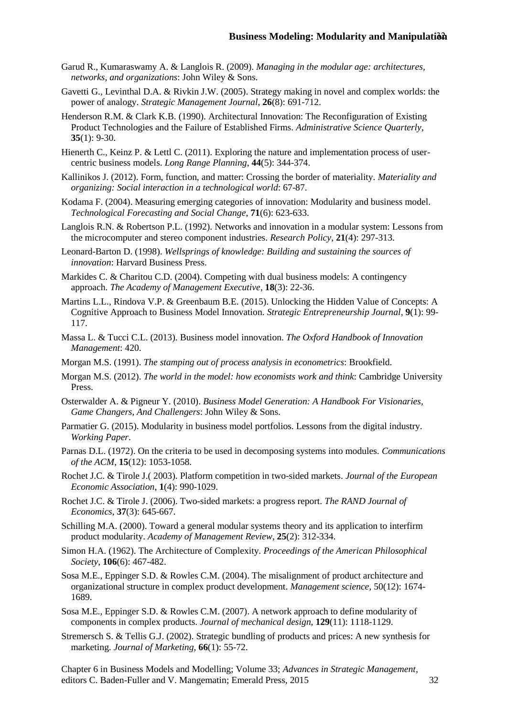- Garud R., Kumaraswamy A. & Langlois R. (2009). *Managing in the modular age: architectures, networks, and organizations*: John Wiley & Sons.
- Gavetti G., Levinthal D.A. & Rivkin J.W. (2005). Strategy making in novel and complex worlds: the power of analogy. *Strategic Management Journal*, **26**(8): 691-712.
- Henderson R.M. & Clark K.B. (1990). Architectural Innovation: The Reconfiguration of Existing Product Technologies and the Failure of Established Firms. *Administrative Science Quarterly*, **35**(1): 9-30.
- Hienerth C., Keinz P. & Lettl C. (2011). Exploring the nature and implementation process of usercentric business models. *Long Range Planning*, **44**(5): 344-374.
- Kallinikos J. (2012). Form, function, and matter: Crossing the border of materiality. *Materiality and organizing: Social interaction in a technological world*: 67-87.
- Kodama F. (2004). Measuring emerging categories of innovation: Modularity and business model. *Technological Forecasting and Social Change*, **71**(6): 623-633.
- Langlois R.N. & Robertson P.L. (1992). Networks and innovation in a modular system: Lessons from the microcomputer and stereo component industries. *Research Policy*, **21**(4): 297-313.
- Leonard-Barton D. (1998). *Wellsprings of knowledge: Building and sustaining the sources of innovation*: Harvard Business Press.
- Markides C. & Charitou C.D. (2004). Competing with dual business models: A contingency approach. *The Academy of Management Executive*, **18**(3): 22-36.
- Martins L.L., Rindova V.P. & Greenbaum B.E. (2015). Unlocking the Hidden Value of Concepts: A Cognitive Approach to Business Model Innovation. *Strategic Entrepreneurship Journal,* **9**(1): 99- 117.
- Massa L. & Tucci C.L. (2013). Business model innovation. *The Oxford Handbook of Innovation Management*: 420.
- Morgan M.S. (1991). *The stamping out of process analysis in econometrics*: Brookfield.
- Morgan M.S. (2012). *The world in the model: how economists work and think*: Cambridge University Press.
- Osterwalder A. & Pigneur Y. (2010). *Business Model Generation: A Handbook For Visionaries, Game Changers, And Challengers*: John Wiley & Sons.
- Parmatier G. (2015). Modularity in business model portfolios. Lessons from the digital industry. *Working Paper*.
- Parnas D.L. (1972). On the criteria to be used in decomposing systems into modules. *Communications of the ACM*, **15**(12): 1053-1058.
- Rochet J.C. & Tirole J.( 2003). Platform competition in two-sided markets. *Journal of the European Economic Association*, **1**(4): 990-1029.
- Rochet J.C. & Tirole J. (2006). Two-sided markets: a progress report. *The RAND Journal of Economics*, **37**(3): 645-667.
- Schilling M.A. (2000). Toward a general modular systems theory and its application to interfirm product modularity. *Academy of Management Review*, **25**(2): 312-334.
- Simon H.A. (1962). The Architecture of Complexity. *Proceedings of the American Philosophical Society*, **106**(6): 467-482.
- Sosa M.E., Eppinger S.D. & Rowles C.M. (2004). The misalignment of product architecture and organizational structure in complex product development. *Management science*, 50(12): 1674- 1689.
- Sosa M.E., Eppinger S.D. & Rowles C.M. (2007). A network approach to define modularity of components in complex products. *Journal of mechanical design*, **129**(11): 1118-1129.
- Stremersch S. & Tellis G.J. (2002). Strategic bundling of products and prices: A new synthesis for marketing. *Journal of Marketing*, **66**(1): 55-72.

Chapter 6 in Business Models and Modelling; Volume 33; *Advances in Strategic Management,* editors C. Baden-Fuller and V. Mangematin; Emerald Press, 2015 32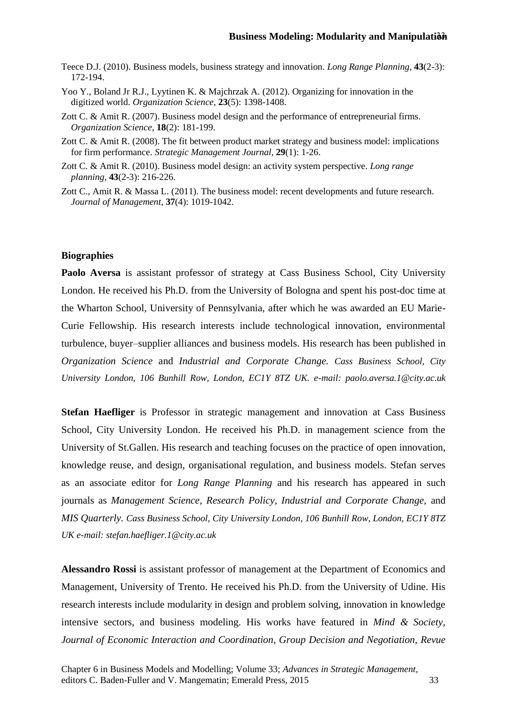- Teece D.J. (2010). Business models, business strategy and innovation. *Long Range Planning*, **43**(2-3): 172-194.
- Yoo Y., Boland Jr R.J., Lyytinen K. & Majchrzak A. (2012). Organizing for innovation in the digitized world. *Organization Science*, **23**(5): 1398-1408.
- Zott C. & Amit R. (2007). Business model design and the performance of entrepreneurial firms. *Organization Science*, **18**(2): 181-199.
- Zott C. & Amit R. (2008). The fit between product market strategy and business model: implications for firm performance. *Strategic Management Journal*, **29**(1): 1-26.
- Zott C. & Amit R. (2010). Business model design: an activity system perspective. *Long range planning*, **43**(2-3): 216-226.
- Zott C., Amit R. & Massa L. (2011). The business model: recent developments and future research. *Journal of Management*, **37**(4): 1019-1042.

## **Biographies**

**Paolo Aversa** is assistant professor of strategy at Cass Business School, City University London. He received his Ph.D. from the University of Bologna and spent his post-doc time at the Wharton School, University of Pennsylvania, after which he was awarded an EU Marie-Curie Fellowship. His research interests include technological innovation, environmental turbulence, buyer–supplier alliances and business models. His research has been published in *Organization Science* and *Industrial and Corporate Change. Cass Business School, City University London, 106 Bunhill Row, London, EC1Y 8TZ UK. e-mail: paolo.aversa.1@city.ac.uk*

**Stefan Haefliger** is Professor in strategic management and innovation at Cass Business School, City University London. He received his Ph.D. in management science from the University of St.Gallen. His research and teaching focuses on the practice of open innovation, knowledge reuse, and design, organisational regulation, and business models. Stefan serves as an associate editor for *Long Range Planning* and his research has appeared in such journals as *Management Science, Research Policy, Industrial and Corporate Change,* and *MIS Quarterly. Cass Business School, City University London, 106 Bunhill Row, London, EC1Y 8TZ UK e-mail: stefan.haefliger.1@city.ac.uk*

**Alessandro Rossi** is assistant professor of management at the Department of Economics and Management, University of Trento. He received his Ph.D. from the University of Udine. His research interests include modularity in design and problem solving, innovation in knowledge intensive sectors, and business modeling. His works have featured in *Mind & Society, Journal of Economic Interaction and Coordination, Group Decision and Negotiation, Revue*